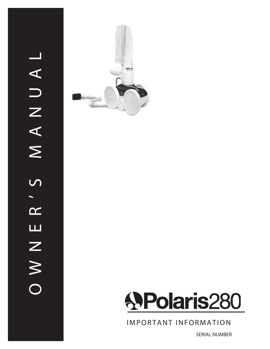



**IMPORTANT INFORMATION** 

SERIAL NUMBER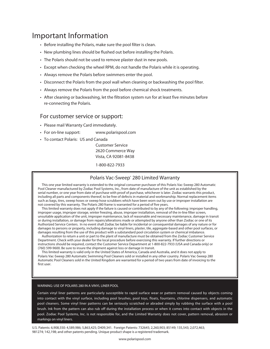#### Important Information

- Before installing the Polaris, make sure the pool filter is clean.
- New plumbing lines should be flushed out before installing the Polaris.
- The Polaris should not be used to remove plaster dust in new pools.
- • Except when checking the wheel RPM, do not handle the Polaris while it is operating.
- • Always remove the Polaris before swimmers enter the pool.
- Disconnect the Polaris from the pool wall when cleaning or backwashing the pool filter.
- • Always remove the Polaris from the pool before chemical shock treatments.
- • After cleaning or backwashing, let the filtration system run for at least five minutes before re-connecting the Polaris.

#### For customer service or support:

- Please mail Warranty Card immediately.
- For on-line support: www.polarispool.com
- To contact Polaris: US and Canada

 Customer Service 2620 Commerce Way Vista, CA 92081-8438 

 1-800-822-7933 

#### Polaris Vac-Sweep<sup>®</sup> 280 Limited Warranty

 This one year limited warranty is extended to the original consumer purchaser of this Polaris Vac-Sweep 280 Automatic Pool Cleaner manufactured by Zodiac Pool Systems, Inc., from date of manufacture of the unit as established by the serial number, or one year from date of purchase with proof of purchase, whichever is later. Zodiac warrants this product, including all parts and components thereof, to be free of defects in material and workmanship. Normal replacement items such as bags, tires, sweep hoses or sweep hose scrubbers which have been worn out by use or improper installation are not covered by this warranty. The Polaris 280 frame is warranted for a period of five years.

 This limited warranty does not apply if the failure is caused or contributed to by any of the following: improper handling, improper usage, improper storage, winter freezing, abuse, improper installation, removal of the in-line filter screen, unsuitable application of the unit, improper maintenance, lack of reasonable and necessary maintenance, damage in transit or during installation, or damage from repairs/alterations made or attempted by anyone other than Zodiac or one of its Authorized Service Centers. In no event shall Zodiac be liable for incidental or consequential damages of any nature or for damages to persons or property, including damage to vinyl liners, plaster, tile, aggregate-based and other pool surfaces, or damages resulting from the use of this product with a substandard pool circulation system or chemical imbalance.

 Authorization to return a unit or part to the plant of manufacture must be obtained from the Zodiac Customer Service Department. Check with your dealer for the local procedure before exercising this warranty. If further directions or instructions should be required, contact the Customer Service Department at 1-800-822-7933 (USA and Canada only) or (760) 599-9600. Be sure to insure the shipment against loss or damage in transit.

 This limited warranty is valid only in the United States of America, Canada and Australia, and it does not apply to Polaris Vac-Sweep 280 Automatic Swimming Pool Cleaners sold or installed in any other country. Polaris Vac-Sweep 280 Automatic Pool Cleaners sold in the United Kingdom are warranted for a period of two years from date of invoicing to the first user.

#### WARNING: USE OF POLARIS 280 IN A VINYL LINER POOL

Certain vinyl liner patterns are particularly susceptible to rapid surface wear or pattern removal caused by objects coming into contact with the vinyl surface, including pool brushes, pool toys, floats, fountains, chlorine dispensers, and automatic pool cleaners. Some vinyl liner patterns can be seriously scratched or abraded simply by rubbing the surface with a pool brush. Ink from the pattern can also rub off during the installation process or when it comes into contact with objects in the pool. Zodiac Pool Systems, Inc. is not responsible for, and the Limited Warranty does not cover, pattern removal, abrasion or markings on vinyl liners.

U.S. Patents: 6,908,550: 4,589,986; 5,863,425; D409,341. Foreign Patents: 732645; 2,260,903; 85149; 135,543; 2,072,463; 981274; 142,198; and other patents pending. Unique product shape is a registered trademark.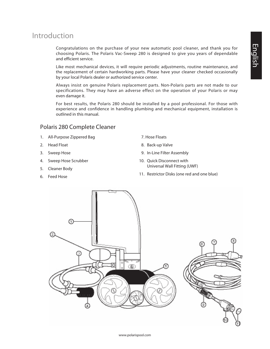#### Introduction

Congratulations on the purchase of your new automatic pool cleaner, and thank you for choosing Polaris. The Polaris Vac-Sweep 280 is designed to give you years of dependable and efficient service.

Like most mechanical devices, it will require periodic adjustments, routine maintenance, and the replacement of certain hardworking parts. Please have your cleaner checked occasionally by your local Polaris dealer or authorized service center.

Always insist on genuine Polaris replacement parts. Non-Polaris parts are not made to our specifications. They may have an adverse effect on the operation of your Polaris or may even damage it.

For best results, the Polaris 280 should be installed by a pool professional. For those with experience and confidence in handling plumbing and mechanical equipment, installation is outlined in this manual.

#### Polaris 280 Complete Cleaner

- 1. All-Purpose Zippered Bag
- 2. Head Float
- 3. Sweep Hose
- 4. Sweep Hose Scrubber
- 5. Cleaner Body
- 6. Feed Hose
- 07. Hose Floats
- 8. Back-up Valve
- 9. In-Line Filter Assembly
- 10. Ouick Disconnect with Universal Wall Fitting (UWF)
- 11. Restrictor Disks (one red and one blue)

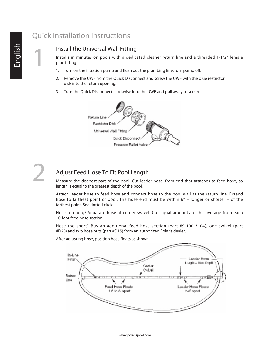#### Quick Installation Instructions

#### Install the Universal Wall Fitting

Installs in minutes on pools with a dedicated cleaner return line and a threaded 1-1/2" female pipe fitting.

- 1. Turn on the filtration pump and flush out the plumbing line.Turn pump off.
- 2. Remove the UWF from the Quick Disconnect and screw the UWF with the blue restrictor disk into the return opening.
- 3. Turn the Quick Disconnect clockwise into the UWF and pull away to secure.



# 2

#### Adjust Feed Hose To Fit Pool Length

Measure the deepest part of the pool. Cut leader hose, from end that attaches to feed hose, so length is equal to the greatest depth of the pool.

Attach leader hose to feed hose and connect hose to the pool wall at the return line. Extend hose to farthest point of pool. The hose end must be within 6" – longer or shorter – of the farthest point. See dotted circle.

Hose too long? Separate hose at center swivel. Cut equal amounts of the overage from each 10-foot feed hose section.

Hose too short? Buy an additional feed hose section (part #9-100-3104), one swivel (part #D20) and two hose nuts (part #D15) from an authorized Polaris dealer.

After adjusting hose, position hose floats as shown.

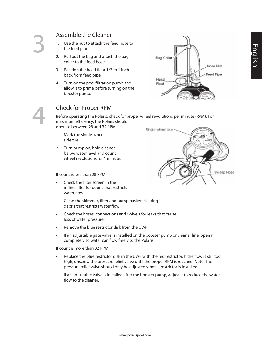- Assemble the Cleaner<br>1. Use the nut to attach the fe<br>the feed pipe.<br>2. Pull out the bag and attack 1. Use the nut to attach the feed hose to the feed pipe.
- Pull out the bag and attach the bag collar to the feed hose.
- 3. Position the head float 1/2 to 1 inch back from feed pipe.
- 4. Turn on the pool filtration pump and allow it to prime before turning on the booster pump.





#### Check for Proper RPM

Before operating the Polaris, check for proper wheel revolutions per minute (RPM). For maximum efficiency, the Polaris should operate between 28 and 32 RPM.

- 1. Mark the single-wheel side tire.
- 2. Turn pump on, hold cleaner below water level and count wheel revolutions for 1 minute.

If count is less than 28 RPM:

- Check the filter screen in the in-line filter for debris that restricts water flow.
- Clean the skimmer, filter and pump basket, clearing debris that restricts water flow.
- • Check the hoses, connections and swivels for leaks that cause loss of water pressure.
- • Remove the blue restrictor disk from the UWF.
- If an adjustable gate valve is installed on the booster pump or cleaner line, open it completely so water can flow freely to the Polaris.

If count is more than 32 RPM:

- Replace the blue restrictor disk in the UWF with the red restrictor. If the flow is still too high, unscrew the pressure relief valve until the proper RPM is reached. Note: The pressure relief valve should only be adjusted when a restrictor is installed.
- If an adjustable valve is installed after the booster pump, adjust it to reduce the water flow to the cleaner.

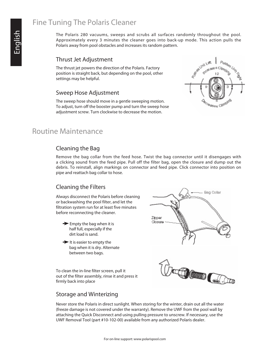#### Fine Tuning The Polaris Cleaner

The Polaris 280 vacuums, sweeps and scrubs all surfaces randomly throughout the pool. Approximately every 3 minutes the cleaner goes into back-up mode. This action pulls the Polaris away from pool obstacles and increases its random pattern.

#### Thrust Jet Adjustment

The thrust jet powers the direction of the Polaris. Factory position is straight back, but depending on the pool, other settings may be helpful.

#### Sweep Hose Adjustment

The sweep hose should move in a gentle sweeping motion. To adjust, turn off the booster pump and turn the sweep hose adjustment screw. Turn clockwise to decrease the motion.



#### Routine Maintenance

#### Cleaning the Bag

Remove the bag collar from the feed hose. Twist the bag connector until it disengages with a clicking sound from the feed pipe. Pull off the filter bag, open the closure and dump out the debris. To reinstall, align markings on connector and feed pipe. Click connector into position on pipe and reattach bag collar to hose.

#### Cleaning the Filters

Always disconnect the Polaris before cleaning or backwashing the pool filter, and let the filtration system run for at least five minutes before reconnecting the cleaner.

- $\rightarrow$  Empty the bag when it is half full, especially if the dirt load is sand.
- $\rightarrow$  It is easier to empty the bag when it is dry. Alternate between two bags.

To clean the in-line filter screen, pull it out of the filter assembly, rinse it and press it firmly back into place





#### Storage and Winterizing

Never store the Polaris in direct sunlight. When storing for the winter, drain out all the water (freeze damage is not covered under the warranty). Remove the UWF from the pool wall by attaching the Quick Disconnect and using pulling pressure to unscrew. If necessary, use the UWF Removal Tool (part #10-102-00) available from any authorized Polaris dealer.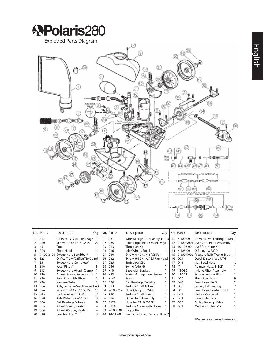

|    | No. Part #     | Description                       | Qty | No. | Part #           | Description                       | Qty |    | No.   Part #    | Description                             | Qty |
|----|----------------|-----------------------------------|-----|-----|------------------|-----------------------------------|-----|----|-----------------|-----------------------------------------|-----|
|    | K13            | All-Purpose Zippered Bag*         |     | 21  | C <sub>6</sub>   | Wheel, Large (No Bearings Incl.)3 |     | 41 | 6-500-00        | Universal Wall Fitting (UWF) 1          |     |
|    | C40            | Screw, 10-32 x 3/8" SS Pan 20     |     | 22  | C65              | Axle, Large (Rear Wheel Only) 1   |     | 42 |                 | 9-100-9001 UWF Connector Assembly       |     |
|    | K <sub>5</sub> | Top                               |     | 23  | C131             | Thrust Jet Kit                    |     | 43 | 10-108-00       | <b>UWF Restrictor Kit</b>               |     |
| 4  | A20            | Float, Head                       |     | 24  | C16              | Idler Wheel, Small                |     | 44 | 6-505-00        | O-Ring, UWF/QD                          |     |
|    | 9-100-3105     | Sweep Hose Scrubber*              |     | 25  | C30              | Screw, 4-40 x 3/16" SS Pan        |     | 45 |                 | 9-100-9002 Pressure Relief Valve, Black |     |
| 6  | <b>B25</b>     | Orifice Tip w/Orifice Tip Guard 1 |     | 26  | C <sub>32</sub>  | Screw, 6-32 x 1/2" SS Pan Head1   |     | 46 | D <sub>29</sub> | <b>Ouick Disconnect, UWF</b>            |     |
|    | B <sub>5</sub> | Sweep Hose Complete*              |     | 27  | C <sub>25</sub>  | Spring for C36                    |     | 47 | D <sub>15</sub> | Nut, Feed Hose                          | 10  |
| 8  | <b>B10</b>     | Wear Rings*                       |     | 28  | C <sub>36</sub>  | Swing Axle Kit                    |     | 48 | **              | Adapter Hose, 8-1/2"                    |     |
| q  | <b>B15</b>     | Sweep Hose Attach Clamp           |     | 29  | K10              | <b>Base with Bracket</b>          |     | 49 | 48-080          | In-Line Filter Assembly                 |     |
| 10 | <b>B20</b>     | Adjust. Screw, Sweep Hose         |     | 30  | K <sub>25</sub>  | Water Management System 1         |     | 50 | 48-222          | Screen, In-Line Filter                  |     |
|    | K30            | Feed Pipe with Elbow              |     | 31  | K145             | Frame                             |     | 51 | D <sub>10</sub> | Float, Feed Hose                        |     |
| 12 | K20            | Vacuum Tube                       |     | 32  | C80              | <b>Ball Bearings, Turbine</b>     |     | 52 | D45             | Feed Hose, 10 Ft                        |     |
| 13 | C66            | Axle, Large (w/Sand/Gravel Grd)2  |     | 33  | C83              | <b>Turbine Shaft Tubes</b>        |     | 53 | D <sub>20</sub> | Swivel, Ball Bearing                    |     |
| 14 | C76            | Screw, 10-32 x 7/8" SS Pan        | 10  | 34  | 9-100-7170       | Hose Clamp for WMS                | 2   | 54 | D50             | Feed Hose, Leader, 10 Ft                |     |
| 15 | C45            | Lock Washer for C36               |     | 35  | A40              | <b>Turbine Shaft Shield</b>       |     | 55 | G52             | Back-up Valve Kit                       |     |
| 16 | C70            | Axle Plate for C65/C66            | 3   | 36  | C86              | Drive Shaft Assembly              |     | 56 | G54             | Case Kit for G52                        |     |
| 17 | C60            | <b>Ball Bearings, Wheels</b>      | 8   | 37  | C120             | Hose for C110, 7-1/2"             |     | 57 | G57             | Collar, Back-up Valve                   |     |
| 18 | C55            | Wheel Screw, Plastic              | 4   | 38  | C <sub>110</sub> | <b>Turbine Cover with Elbow</b>   |     | 58 | G53             | Mechanism for G52                       |     |
| 19 | C64            | Wheel Washer, Plastic             | 4   | 39  | 9-100-1018       | Bag Collar                        |     |    |                 |                                         |     |
| 20 | C10            | Tire, MaxTrax <sup>**</sup>       | 3   | 40  | 10-112-00        | Restrictor Disks, Red and Blue 2  |     |    |                 |                                         |     |

\*Wearitemsnotcoveredbywarranty.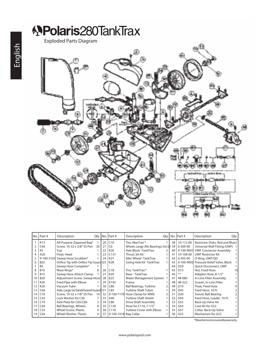# **APolaris280TankTrax** Exploded Parts Diagram

| lNo.l | Part #          | Description                                             | Qty |          | No. Part #                      | Description                                                       |          | Qty   No.   Part #    | Description                                                       | Qty |
|-------|-----------------|---------------------------------------------------------|-----|----------|---------------------------------|-------------------------------------------------------------------|----------|-----------------------|-------------------------------------------------------------------|-----|
|       | K13<br>C40      | All-Purpose Zippered Bag*<br>Screw, 10-32 x 3/8" SS Pan | 20  | 20<br>21 | $ C10\rangle$<br>C <sub>6</sub> | Tire, MaxTrax <sup>**</sup><br>Wheel, Large (No Bearings Incl.) B | 38<br>39 | 10-112-00<br>6-500-00 | Restrictor Disks, Red and Blue2<br>Universal Wall Fitting (UWF) 1 |     |
|       | K5              | Top                                                     |     | 22       | K26                             | Axle Block -TankTrax                                              | 40       | 9-100-9001            | <b>UWF Connector Assembly</b>                                     |     |
|       | A20             | Float, Head                                             |     | 23       | C131                            | Thrust Jet Kit                                                    | 41       | 10-108-00             | <b>UWF Restrictor Kit</b>                                         |     |
|       | 9-100-3105      | Sweep Hose Scrubber*                                    |     | 24       | K <sub>27</sub>                 | <b>Idler Wheel -TankTrax</b>                                      | 42       | 6-505-00              | O-Ring, UWF/QD                                                    |     |
| 6     | <b>B25</b>      | Orifice Tip with Orifice Tip Guard 125                  |     |          | K28                             | Swing Axle Kit -TankTrax                                          | 43       | 9-100-9002            | Pressure Relief Valve, Black                                      |     |
|       | B <sub>5</sub>  | Sweep Hose Complete*                                    |     |          |                                 |                                                                   | 44       | D <sub>29</sub>       | Quick Disconnect, UWF                                             |     |
|       | <b>B10</b>      | Wear Rings*                                             |     | 26       | C18                             | Tire, TankTrax <sup>**</sup>                                      | 45       | D <sub>15</sub>       | Nut, Feed Hose                                                    | 10  |
| 9     | <b>B15</b>      | Sweep Hose Attach Clamp                                 |     | 27       | K <sub>29</sub>                 | Base - TankTrax                                                   | 46       | $***$                 | Adapter Hose, 8-1/2"                                              |     |
| 10    | <b>B20</b>      | Adjustment Screw, Sweep Hose                            |     | 28       | K25                             | Water Management System                                           | 47       | 48-080                | In-Line Filter Assembly                                           |     |
| 11    | K30             | Feed Pipe with Elbow                                    |     | 29       | K145                            | Frame                                                             | 48       | 48-222                | Screen, In-Line Filter                                            |     |
| 12    | K <sub>20</sub> | Vacuum Tube                                             |     | 30       | C80                             | <b>Ball Bearings, Turbine</b>                                     | 49       | D <sub>10</sub>       | Float, Feed Hose                                                  |     |
| 13    | C66             | Axle, Large (w/Sand/Gravel Guard) 131                   |     |          | C83                             | <b>Turbine Shaft Tubes</b>                                        | 50       | D45                   | Feed Hose, 10 Ft                                                  |     |
| 14    | C76             | Screw, 10-32 x 7/8" SS Pan                              | 10  | 32       | 9-100-7170                      | Hose Clamp for WMS                                                | 51       | D <sub>20</sub>       | Swivel, Ball Bearing                                              |     |
| 15    | C45             | Lock Washer for C36                                     |     | 33       | A40                             | <b>Turbine Shaft Shield</b>                                       | 52       | D <sub>50</sub>       | Feed Hose, Leader, 10 Ft                                          |     |
| 16    | C70             | Axle Plate for C65/C66                                  | 3   | 34       | C86                             | Drive Shaft Assembly                                              | 53       | G52                   | Back-Up Valve Kit                                                 |     |
| 17    | C60             | <b>Ball Bearings, Wheels</b>                            | 8   | 35       | C120                            | Hose for C110, 7-1/2"                                             | 54       | G54                   | Case Kit for G52                                                  |     |
| 18    | C <sub>55</sub> | Wheel Screw, Plastic                                    | 4   | 36       | C <sub>110</sub>                | Turbine Cover with Elbow                                          | 55       | G57                   | Collar, Back-Up Valve                                             |     |
| 19    | C64             | Wheel Washer, Plastic                                   | 4   | 37       | 9-100-1018 Bag Collar           |                                                                   | 56       | G53                   | Mechanism for G52                                                 |     |

\*Wearitemsnotcoveredbywarranty.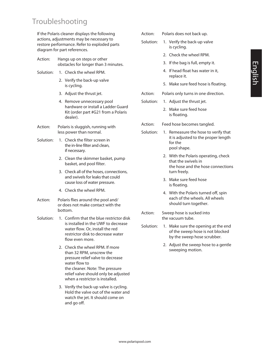#### Troubleshooting

If the Polaris cleaner displays the following actions, adjustments may be necessary to restore performance. Refer to exploded parts diagram for part references.

- Action: Hangs up on steps or other obstacles for longer than 3 minutes.
- Solution: 1. Check the wheel RPM.
	- 2. Verify the back-up valve is cycling.
	- 3. Adjust the thrust jet.
	- 4. Remove unnecessary pool hardware or install a Ladder Guard Kit (order part #G21 from a Polaris dealer).
- Action: Polaris is sluggish, running with less power than normal.
- Solution: 1. Check the filter screen in the in-line filter and clean, if necessary.
	- 2. Clean the skimmer basket, pump basket, and pool filter.
	- 3. Check all of the hoses, connections, and swivels for leaks that could cause loss of water pressure.
	- 4. Check the wheel RPM.
- Action: Polaris flies around the pool and/ or does not make contact with the bottom.
- Solution: 1. Confirm that the blue restrictor disk is installed in the UWF to decrease water flow. Or, install the red restrictor disk to decrease water flow even more.
	- 2. Check the wheel RPM. If more than 32 RPM, unscrew the pressure relief valve to decrease water flow to the cleaner. Note: The pressure relief valve should only be adjusted when a restrictor is installed.
	- 3. Verify the back-up valve is cycling. Hold the valve out of the water and watch the jet. It should come on and go off.
- Action: Polaris does not back up.
- Solution: 1. Verify the back-up valve is cycling.
	- 2. Check the wheel RPM.
	- 3. If the bag is full, empty it.
	- 4. If head float has water in it, replace it.
	- 5. Make sure feed hose is floating.
- Action: Polaris only turns in one direction.
- Solution: 1. Adjust the thrust jet.
	- 2. Make sure feed hose is floating.
- Action: Feed hose becomes tangled.
- Solution: 1. Remeasure the hose to verify that it is adjusted to the proper length for the pool shape.
	- 2. With the Polaris operating, check that the swivels in the hose and the hose connections turn freely.
	- 3. Make sure feed hose is floating.
	- 4. With the Polaris turned off, spin each of the wheels. All wheels should turn together.
- Action: Sweep hose is sucked into the vacuum tube.
- Solution: 1. Make sure the opening at the end of the sweep hose is not blocked by the sweep hose scrubber.
	- 2. Adjust the sweep hose to a gentle sweeping motion.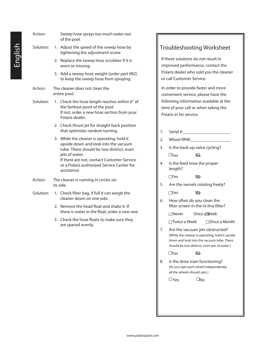| Action:   | Sweep hose sprays too much water out<br>of the pool.                                                                                                                                                                                                        |
|-----------|-------------------------------------------------------------------------------------------------------------------------------------------------------------------------------------------------------------------------------------------------------------|
| Solution: | Adjust the speed of the sweep hose by<br>1.<br>tightening the adjustment screw.                                                                                                                                                                             |
|           | 2. Replace the sweep hose scrubber if it is<br>worn or missing.                                                                                                                                                                                             |
|           | 3. Add a sweep hose weight (order part #B2)<br>to keep the sweep hose from spraying.                                                                                                                                                                        |
| Action:   | The cleaner does not clean the<br>entire pool.                                                                                                                                                                                                              |
| Solution: | 1. Check the hose length reaches within 6" of<br>the farthest point of the pool.<br>If not, order a new hose section from your<br>Polaris dealer.                                                                                                           |
|           | 2. Check thrust jet for straight back position<br>that optimizes random turning.                                                                                                                                                                            |
|           | 3. While the cleaner is operating, hold it<br>upside down and look into the vacuum<br>tube. There should be two distinct, even<br>jets of water.<br>If there are not, contact Customer Service<br>or a Polaris authorized Service Center for<br>assistance. |
| Action:   | The cleaner is running in circles on<br>its side.                                                                                                                                                                                                           |
| Solution: | 1. Check filter bag, if full it can weigh the<br>cleaner down on one side.                                                                                                                                                                                  |
|           | Remove the head float and shake it. If<br>2.<br>there is water in the float, order a new one.                                                                                                                                                               |
|           | 3. Check the hose floats to make sure they<br>are spaced evenly.                                                                                                                                                                                            |
|           |                                                                                                                                                                                                                                                             |
|           |                                                                                                                                                                                                                                                             |

#### Troubleshooting Worksheet

If these solutions do not result in improved performance, contact the Polaris dealer who sold you the cleaner or call Customer Service.

In order to provide faster and more convenient service, please have the following information available at the time of your call or when taking the Polaris in for service.

| 1. | Serial #:                                                                                                                                                                       |
|----|---------------------------------------------------------------------------------------------------------------------------------------------------------------------------------|
| 2. | Wheel RPM:                                                                                                                                                                      |
| 3. | Is the back-up valve cycling?                                                                                                                                                   |
|    | ŃЪ<br>$\square$ Yes                                                                                                                                                             |
| 4. | Is the feed hose the proper<br>length?                                                                                                                                          |
|    | $\Box$ Yes<br>Νō                                                                                                                                                                |
| 5. | Are the swivels rotating freely?                                                                                                                                                |
|    | $\sqcap$ Yes<br>МФ                                                                                                                                                              |
| 6. | How often do you clean the<br>filter screen in the in-line filter?                                                                                                              |
|    | Once a Week<br>$\Box$ Never                                                                                                                                                     |
|    | □Twice a Week<br>$\Box$ Once a Month                                                                                                                                            |
| 7. | Are the vacuum jets obstructed?<br>(While the cleaner is operating, hold it upside<br>down and look into the vacuum tube. There<br>should be two distinct, even jets of water.) |
|    | $\Box$ Yes<br>ŃЪ                                                                                                                                                                |
| 8. | Is the drive train functioning?<br>(As you spin each wheel independently,<br>all the wheels should spin.)                                                                       |
|    | ∐Yes<br>طا∩                                                                                                                                                                     |
|    |                                                                                                                                                                                 |
|    |                                                                                                                                                                                 |
|    |                                                                                                                                                                                 |
|    |                                                                                                                                                                                 |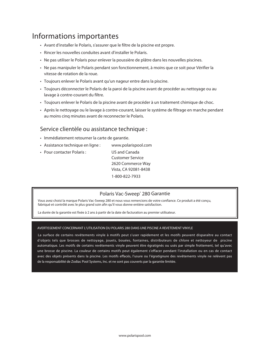#### Informations importantes

- • Avant d'installer le Polaris, s'assurer que le filtre de la piscine est propre.
- • Rincer les nouvelles conduites avant d'installer le Polaris.
- • Ne pas utiliser le Polaris pour enlever la poussière de plâtre dans les nouvelles piscines.
- • Ne pas manipuler le Polaris pendant son fonctionnement, à moins que ce soit pour Vérifier la vitesse de rotation de la roue.
- Toujours enlever le Polaris avant qu'un nageur entre dans la piscine.
- • Toujours déconnecter le Polaris de la paroi de la piscine avant de procéder au nettoyage ou au lavage à contre-courant du filtre.
- • Toujours enlever le Polaris de la piscine avant de procéder à un traitement chimique de choc.
- • Après le nettoyage ou le lavage à contre-courant, laisser le système de filtrage en marche pendant au moins cinq minutes avant de reconnecter le Polaris.

#### Service clientèle ou assistance technique :

- • Immédiatement retourner la carte de garantie.
- Assistance technique en ligne : www.polarispool.com
- Pour contacter Polaris : US and Canada

 Customer Service 2620 Commerce Way Vista, CA 92081-8438 1-800-822-7933

#### Polaris Vac-Sweep® 280 Garantie

Vous avez choisi la marque Polaris Vac-Sweep 280 et nous vous remercions de votre confiance. Ce produit a été conçu, fabriqué et contrôlé avec le plus grand soin afin qu'il vous donne entière satisfaction.

La durée de la garantie est fixée à 2 ans à partir de la date de facturation au premier utilisateur.

#### AVERTISSEMENT CONCERNANT L'UTILISATION DU POLARIS 280 DANS UNE PISCINE A REVETEMENT VINYLE

 La surface de certains revêtements vinyle à motifs peut s'user rapidement et les motifs peuvent disparaître au contact d'objets tels que brosses de nettoyage, jouets, bouées, fontaines, distributeurs de chlore et nettoyeur de piscine automatique. Les motifs de certains revêtements vinyle peuvent être égratignés ou usés par simple frottement, tel qu'avec une brosse de piscine. La couleur de certains motifs peut également s'effacer pendant l'installation ou en cas de contact avec des objets présents dans la piscine. Les motifs effacés, l'usure ou l'égratignure des revêtements vinyle ne relèvent pas de la responsabilité de Zodiac Pool Systems, Inc. et ne sont pas couverts par la garantie limitée.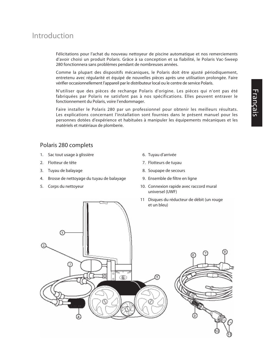#### Introduction

Félicitations pour l'achat du nouveau nettoyeur de piscine automatique et nos remerciements d'avoir choisi un produit Polaris. Grâce à sa conception et sa fiabilité, le Polaris Vac-Sweep 280 fonctionnera sans problèmes pendant de nombreuses années.

Comme la plupart des dispositifs mécaniques, le Polaris doit être ajusté périodiquement, entretenu avec régularité et équipé de nouvelles pièces après une utilisation prolongée. Faire vérifier occasionnellement l'appareil par le distributeur local ou le centre de service Polaris.

N'utiliser que des pièces de rechange Polaris d'origine. Les pièces qui n'ont pas été fabriquées par Polaris ne satisfont pas à nos spécifications. Elles peuvent entraver le fonctionnement du Polaris, voire l'endommager.

Faire installer le Polaris 280 par un professionnel pour obtenir les meilleurs résultats. Les explications concernant l'installation sont fournies dans le présent manuel pour les personnes dotées d'expérience et habituées à manipuler les équipements mécaniques et les matériels et matériaux de plomberie.

#### Polaris 280 complets

- 1. Sac tout usage à glissière
- 2. Flotteur de tête
- 3. Tuyau de balayage
- 4. Brosse de nettoyage du tuyau de balayage
- 5. Corps du nettoyeur
- 06. Tuyau d'arrivée
- 7. Flotteurs de tuyau
- 8. Soupape de secours
- 9. Ensemble de filtre en ligne
- 10. Connexion rapide avec raccord mural universel (UWF)
- 11 Disques du réducteur de débit (un rouge et un bleu)

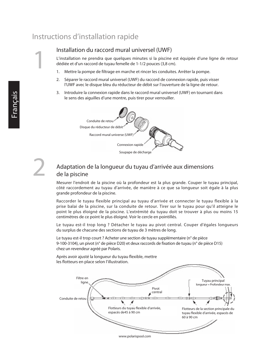#### Instructions d'installation rapide

#### Installation du raccord mural universel (UWF)

L'installation ne prendra que quelques minutes si la piscine est équipée d'une ligne de retour dédiée et d'un raccord de tuyau femelle de 1-1/2 pouces (3,8 cm).

- 1. Mettre la pompe de filtrage en marche et rincer les conduites. Arrêter la pompe.
- 2. Séparer le raccord mural universel (UWF) du raccord de connexion rapide, puis visser l'UWF avec le disque bleu du réducteur de débit sur l'ouverture de la ligne de retour.
- 3. Introduire la connexion rapide dans le raccord mural universel (UWF) en tournant dans le sens des aiguilles d'une montre, puis tirer pour verrouiller.





1

#### Adaptation de la longueur du tuyau d'arrivée aux dimensions de la piscine

Mesurer l'endroit de la piscine où la profondeur est la plus grande. Couper le tuyau principal, côté raccordement au tuyau d'arrivée, de manière à ce que sa longueur soit égale à la plus grande profondeur de la piscine.

Raccorder le tuyau flexible principal au tuyau d'arrivée et connecter le tuyau flexible à la prise balai de la piscine, sur la conduite de retour. Tirer sur le tuyau pour qu'il atteigne le point le plus éloigné de la piscine. L'extrémité du tuyau doit se trouver à plus ou moins 15 centimètres de ce point le plus éloigné. Voir le cercle en pointillés.

Le tuyau est-il trop long ? Détacher le tuyau au pivot central. Couper d'égales longueurs du surplus de chacune des sections de tuyau de 3 mètres de long.

Le tuyau est-il trop court ? Acheter une section de tuyau supplémentaire (n° de pièce 9-100-3104), un pivot (n° de pièce D20) et deux raccords de fixation de tuyau (n° de pièce D15) chez un revendeur agréé par Polaris.

Après avoir ajusté la longueur du tuyau flexible, mettre les flotteurs en place selon l'illustration.

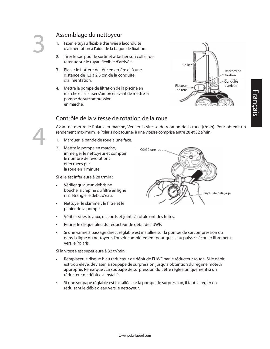4

#### Assemblage du nettoyeur

- 1. Fixer le tuyau flexible d'arrivée à laconduite d'alimentation à l'aide de la bague de fixation.
- 2. Tirer le sac pour le sortir et attacher son collier de retenue sur le tuyau flexible d'arrivée.
- 3. Placer le flotteur de tête en arrière et à une distance de 1,3 à 2,5 cm de la conduite d'alimentation.
- 4. Mettre la pompe de filtration de la piscine en marche et la laisser s'amorcer avant de mettre la pompe de surcompression en marche.



# Français

#### Contrôle de la vitesse de rotation de la roue

Avant de mettre le Polaris en marche, Vérifier la vitesse de rotation de la roue (t/min). Pour obtenir un rendement maximum, le Polaris doit tourner à une vitesse comprise entre 28 et 32 t/min.

- 1. Marquer la bande de roue à une face.
- 2. Mettre la pompe en marche, immerger le nettoyeur et compter le nombre de révolutions effectuées par la roue en 1 minute.

Si elle est inférieure à 28 t/min :

- • Vérifier qu'aucun débris ne bouche la crépine du filtre en ligne ni n'étrangle le débit d'eau.
- • Nettoyer le skimmer, le filtre et le panier de la pompe.



- Retirer le disque bleu du réducteur de débit de l'UWF.
- Si une vanne à passage direct réglable est installée sur la pompe de surcompression ou dans la ligne du nettoyeur, l'ouvrir complètement pour que l'eau puisse s'écouler librement vers le Polaris.

Si la vitesse est supérieure à 32 tr/min :

- Remplacer le disque bleu réducteur de débit de l'UWF par le réducteur rouge. Si le débit est trop élevé, dévisser la soupape de surpression jusqu'à obtention du régime moteur approprié. Remarque : La soupape de surpression doit être réglée uniquement si un réducteur de débit est installé.
- • Si une soupape réglable est installée sur la pompe de surpression, il faut la régler en réduisant le débit d'eau vers le nettoyeur.

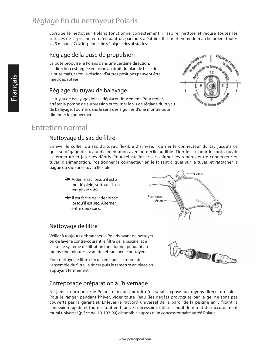#### Réglage fin du nettoyeur Polaris

Lorsque le nettoyeur Polaris fonctionne correctement, il aspire, nettoie et récure toutes les surfaces de la piscine en effectuant un parcours aléatoire. Il se met en mode marche arrière toutes les 3 minutes. Cela lui permet de s'éloigner des obstacles.

#### Réglage de la buse de propulsion

La buse propulse le Polaris dans une certaine direction. La direction est réglée en usine au droit du plan de base de la buse mais, selon la piscine, d'autres positions peuvent être mieux adaptées

#### Réglage du tuyau de balayage

Le tuyau de balayage doit se déplacer doucement. Pour régler, arrêter la pompe de surpression et tourner la vis de réglage du tuyau de balayage. Tourner dans le sens des aiguilles d'une montre pour diminuer le mouvement.



#### Entretien normal

#### Nettoyage du sac de filtre

Enlever le collier du sac du tuyau flexible d'arrivée. Tourner le connecteur du sac jusqu'à ce qu'il se dégage du tuyau d'alimentation avec un déclic audible. Tirer le sac pour le sortir, ouvrir la fermeture et jeter les débris. Pour réinstaller le sac, aligner les repères entre connecteur et tuyau d'alimentation. Positionner le connecteur en le faisant cliquer sur le tuyau et rattacher la bague du sac sur le tuyau flexible

- Vider le sac lorsqu'il est à moitié plein, surtout s'il est rempli de sable
- $\rightarrow$  Il est facile de vider le sac lorsqu'il est sec. Alterner entre deux sacs.

#### Nettoyage de filtre

Veiller à toujours débrancher le Polaris avant de nettoyer ou de laver à contre-courant le filtre de la piscine, et à laisser le système de filtration fonctionner pendant au moins cinq minutes avant de rebrancher le nettoyeur.

Pour nettoyer le filtre d'écran en ligne, le retirer de l'ensemble du filtre, le rincer puis le remettre en place en appuyant fermement.

#### Entreposage préparation à l'hivernage

Ne jamais entreposer le Polaris dans un endroit où il serait exposé aux rayons directs du soleil. Pour le ranger pendant l'hiver, vider toute l'eau (les dégâts provoqués par le gel ne sont pas couverts par la garantie). Enlever le raccord universel de la paroi de la piscine en y fixant la connexion rapide et tourner tout en tirant. Si nécessaire, utiliser l'outil de retrait du raccordement mural universel (pièce no. 10-102-00) disponible auprès d'un concessionnaire agréé Polaris.



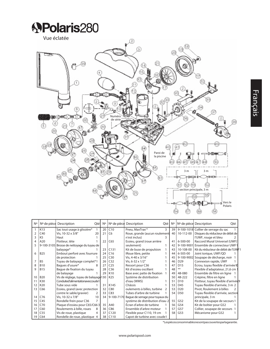

| N° |                 | Nº de pièce Description<br>Qtél       | N° |                 | Nº de pièce Description<br>Qté               |   | N°                    | Nº de pièce Description<br>Qté       |
|----|-----------------|---------------------------------------|----|-----------------|----------------------------------------------|---|-----------------------|--------------------------------------|
|    | K13             | Sac tout usage à glissière*           | 20 | C10             | Pneu, MaxTrax <sup>**</sup>                  | 3 | 39                    | 9-100-1018 Collier de serrage du sac |
|    | C40             | Vis, 10-32 x 3/8"<br>20               | 21 | C <sub>6</sub>  | Roue, grande (aucun roulement                |   | 10-112-00<br>40       | Disques du réducteur de débit de     |
|    | K <sub>5</sub>  | Haut                                  |    |                 | n'est inclus)                                |   |                       | l'UWF, rouge et bleu                 |
|    | A20             | Flotteur, tête                        | 22 | C65             | Essieu, grand (roue arrière                  |   | 41<br>$6 - 500 - 00$  | Raccord Mural Universel (UWF)        |
|    | 9-100-3105      | Brosse de nettoyage du tuyau de       |    |                 | seulement)                                   |   | 42<br>9-100-9001      | Ensemble de connecteur UWF1          |
|    |                 | balayage*                             | 23 | C131            | Kit de buse de propulsion                    |   | 10-108-00<br>43       | Kit du réducteur de débit de l'UWF1  |
| 6  | <b>B25</b>      | Embout perforé avec fourrure          | 24 | C16             | IRoue libre, petite                          |   | 6-505-00<br>44        | Joint torique, UWF/QD                |
|    |                 | de protection                         | 25 | C30             | Vis, 4-40 x 3/16"                            |   | 45<br>9-100-9002      | Soupape de décharge, noir            |
|    | B <sub>5</sub>  | Tuyau de balayage complet*1           | 26 | C32             | Vis, 6-32 x 1/2"                             |   | D <sub>29</sub><br>46 | Connexion rapide, UWF                |
| 8  | <b>B10</b>      | Baques d'usure*<br>8                  | 27 | C <sub>25</sub> | Ressort pour C36                             |   | D <sub>15</sub><br>47 | Écrou, tuyau flexible d'arrivée 10   |
| 9  | <b>B15</b>      | Baque de fixation du tuyau            | 28 | C36             | Kit d'essieu oscillant                       |   | $***$<br>48           | Flexible d'adaptateur, 21,6 cm       |
|    |                 | de balayage                           | 29 | K10             | Base avec patte de fixation                  |   | 48-080<br>49          | Ensemble de filtre en ligne          |
| 10 | <b>B20</b>      | Vis de réglage, tuyau de balayage 130 |    | K25             | Système de distribution                      |   | 48-222<br>50          | Crépine, filtre en ligne             |
| 11 | K30             | Conduited'alimentationaveccoude1      |    |                 | d'eau (WMS)                                  |   | D <sub>10</sub><br>51 | Flotteur, tuyau flexible d'arrivée9  |
| 12 | K20             | Tube sous vide                        | 31 | K145            | Châssis                                      |   | D45<br>53             | Tuyau flexible d'arrivée, 3 m 2      |
| 13 | C66             | Essieu, grand (avec protection        | 32 | C80             | oulements à billes, turbine<br>$\mathcal{L}$ |   | 53<br>D <sub>20</sub> | Pivot, Roulement à billes            |
|    |                 | contre le sable/gravier)<br>2         | 33 | C83             | Tubes d'arbre de turbine                     |   | D50<br>54             | Tuyau flexible d'arrivée, section    |
| 14 | C76             | Vis, 10-32 x 7/8"<br>10               | 34 | 9-100-7170      | Bague de serrage pour tuyaux du              |   |                       | principale, 3 m                      |
| 15 | C45             | Rondelle frein pour C36               |    |                 | système de distribution d'eau 2              |   | 55<br>G52             | Kit de la soupape de secours 1       |
| 16 | C70             | Plaque d'essieu pour C65/C66 3        | 35 | A40             | Écran d'arbre de turbine                     |   | 56<br>G54             | Kit de boîtier pour G52              |
| 17 | C60             | Roulements à bille, roues<br>8        | 36 | C86             | Ensemble d'arbre moteur                      |   | G57<br>57             | Collier, soupape de secours          |
| 18 | C <sub>55</sub> | Vis de roue, plastique<br>4           | 37 | C120            | Flexible pour C110, 19 cm                    |   | 58<br>G53             | Mécanisme pour G52                   |
| 19 | C64             | Rondelle de roue, plastique 4         | 38 | C110            | Capot de turbine avec coude1                 |   |                       |                                      |

15)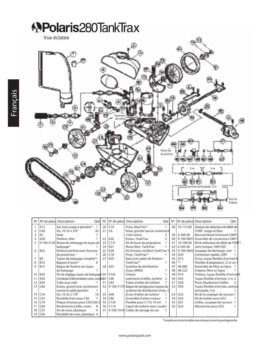

| N° | N° de pièce     | Description<br>Qté                    | N° | $No$ de pièce  | Description<br>Qté                | N° | Nº de pièce     | Description<br>Oté                   |
|----|-----------------|---------------------------------------|----|----------------|-----------------------------------|----|-----------------|--------------------------------------|
|    | K13             | Sac tout usage à glissière*           | 20 | C10            | Pneu, MaxTrax <sup>**</sup>       | 38 | 10-112-00       | Disques du réducteur de débit de     |
|    | C40             | Vis. 10-32 x 3/8"<br>20               | 21 | C <sub>6</sub> | Roue, grande (aucun roulement     |    |                 | l'UWF, rouge et bleu                 |
|    | K <sub>5</sub>  | Haut                                  |    |                | n'est inclus)                     | 39 | 6-500-00        | Raccord Mural Universel (UWF)        |
|    | A20             | Flotteur, tête                        | 22 | K26            | Essieu, TankTrax®                 | 40 | 9-100-9001      | Ensemble de connecteur UWF1          |
|    | 9-100-3105      | Brosse de nettoyage du tuyau de       | 23 | C131           | Kit de buse de propulsion         | 41 | 10-108-00       | Kit du réducteur de débit de l'UWF1  |
|    |                 | balayage*                             | 24 | K27            | IRoue libre -TankTrax®            | 42 | 6-505-00        | Joint torique, UWF/QD                |
| 6  | <b>B25</b>      | Embout perforé avec fourrure          | 25 | K28            | Kit d'essieu oscillant-TankTrax'1 | 43 | 9-100-9002      | Soupape de décharge, noir            |
|    |                 | de protection                         | 26 | C18            | Pneu, TankTrax <sup>**</sup>      | 44 | D <sub>29</sub> | Connexion rapide, UWF                |
|    | B <sub>5</sub>  | Tuyau de balayage complet*1           | 27 | K29            | Base avec patte de fixation -     | 45 | D <sub>15</sub> | Écrou, tuyau flexible d'arrivée 10   |
|    | <b>B10</b>      | Baques d'usure*                       |    |                | TankTrax <sup>**</sup>            | 46 | **              | Flexible d'adaptateur, 21,6 cm       |
|    | <b>B15</b>      | Bague de fixation du tuyau            | 28 | K25            | Système de distribution           | 47 | 48-080          | Ensemble de filtre en ligne          |
|    |                 | de balayage                           |    |                | d'eau (WMS)                       | 48 | 48-222          | Crépine, filtre en ligne             |
| 10 | <b>B20</b>      | Vis de réglage, tuyau de balayage 129 |    | K145           | Châssis                           | 49 | D <sub>10</sub> | Flotteur, tuyau flexible d'arrivée 9 |
|    | K30             | Conduite d'alimentation avec coude30  |    | C80            | oulements à billes, turbine<br>2  | 50 | D45             | Tuyau flexible d'arrivée, 3 m 2      |
| 12 | K20             | Tube sous vide                        | 31 | C83            | Tubes d'arbre de turbine          | 51 | D <sub>20</sub> | Pivot, Roulement à billes            |
| 13 | C66             | Essieu, grand (avec protection        | 32 | 9-100-7170     | Bague de serrage pour tuyaux du   | 52 | D <sub>50</sub> | Tuyau flexible d'arrivée, section    |
|    |                 | contre le sable/gravier)              |    |                | système de distribution d'eau 2   |    |                 | principale, 3 m                      |
| 14 | C76             | Vis, 10-32 x 7/8"<br>10               | 33 | A40            | Écran d'arbre de turbine          | 53 | G52             | Kit de la soupape de secours 1       |
| 15 | C45             | Rondelle frein pour C36               | 34 | C86            | Ensemble d'arbre moteur           | 54 | G54             | Kit de boîtier pour G52              |
| 16 | C70             | Plaque d'essieu pour C65/C663         | 35 | C120           | Flexible pour C110, 19 cm         | 55 | G57             | Collier, soupape de secours          |
| 17 | C60             | Roulements à bille, roues<br>8        | 36 | C110           | Capot de turbine avec coude1      | 56 | G53             | Mécanisme pour G52                   |
| 18 | C <sub>55</sub> | Vis de roue, plastique<br>4           | 37 | 9-100-1018     | Collier de serrage du sac         |    |                 |                                      |
| 19 | C64             | Rondelle de roue, plastique 4         |    |                |                                   |    |                 |                                      |

\*Lespiècesconsommablesnesontpascouvertesparlagarantie.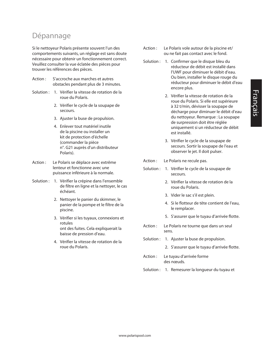#### Dépannage

Si le nettoyeur Polaris présente souvent l'un des comportements suivants, un réglage est sans doute nécessaire pour obtenir un fonctionnement correct. Veuillez consulter la vue éclatée des pièces pour trouver les références des pièces.

- Action : S'accroche aux marches et autres obstacles pendant plus de 3 minutes.
- Solution : 1. Vérifier la vitesse de rotation de la roue du Polaris.
	- 2. Vérifier le cycle de la soupape de secours.
	- 3. Ajuster la buse de propulsion.
	- 4. Enlever tout matériel inutile de la piscine ou installer un kit de protection d'échelle (commander la pièce n°. G21 auprès d'un distributeur Polaris).
- Action : Le Polaris se déplace avec extrême lenteur et fonctionne avec une puissance inférieure à la normale.
- Solution : 1. Vérifier la crépine dans l'ensemble de filtre en ligne et la nettoyer, le cas échéant.
	- 2. Nettoyer le panier du skimmer, le panier de la pompe et le filtre de la piscine.
	- 3. Vérifier si les tuyaux, connexions et rotules ont des fuites. Cela expliquerait la baisse de pression d'eau.
	- 4. Vérifier la vitesse de rotation de la roue du Polaris.
- Action : Le Polaris vole autour de la piscine et/ ou ne fait pas contact avec le fond.
- Solution : 1. Confirmer que le disque bleu du réducteur de débit est installé dans l'UWF pour diminuer le débit d'eau. Ou bien, installer le disque rouge du réducteur pour diminuer le débit d'eau encore plus.
	- 2. Vérifier la vitesse de rotation de la roue du Polaris. Si elle est supérieure à 32 t/min, dévisser la soupape de décharge pour diminuer le débit d'eau du nettoyeur. Remarque : La soupape de surpression doit être réglée uniquement si un réducteur de débit est installé.
	- 3. Vérifier le cycle de la soupape de secours. Sortir la soupape de l'eau et observer le jet. Il doit pulser.
- Action : Le Polaris ne recule pas.
- Solution : 1. Vérifier le cycle de la soupape de secours.
	- 2. Vérifier la vitesse de rotation de la roue du Polaris.
	- 3. Vider le sac s'il est plein.
	- 4. Si le flotteur de tête contient de l'eau, le remplacer.
	- 5. S'assurer que le tuyau d'arrivée flotte.
- Action : Le Polaris ne tourne que dans un seul sens.
- Solution : 1. Ajuster la buse de propulsion.
	- 2. S'assurer que le tuyau d'arrivée flotte.
- Action : Le tuyau d'arrivée forme des nœuds.
- Solution : 1. Remesurer la longueur du tuyau et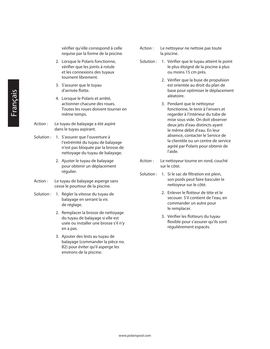vérifier qu'elle correspond à celle requise par la forme de la piscine.

- 2. Lorsque le Polaris fonctionne, vérifier que les joints à rotule et les connexions des tuyaux tournent librement.
- 3. S'assurer que le tuyau d'arrivée flotte.
- 4. Lorsque le Polaris et arrêté, actionner chacune des roues. Toutes les roues doivent tourner en même temps.
- Action : Le tuyau de balayage a été aspiré dans le tuyau aspirant.
- Solution : 1. S'assurer que l'ouverture à l'extrémité du tuyau de balayage n'est pas bloquée par la brosse de nettoyage du tuyau de balayage.
	- 2. Ajuster le tuyau de balayage pour obtenir un déplacement régulier.
- Action : Le tuyau de balayage asperge sans cesse le pourtour de la piscine.
- Solution : 1. Régler la vitesse du tuyau de balayage en serrant la vis de réglage.
	- 2. Remplacer la brosse de nettoyage du tuyau de balayage si elle est usée ou installer une brosse s'il n'y en a pas.
	- 3. Ajouter des lests au tuyau de balayage (commander la pièce no. B2) pour éviter qu'il asperge les environs de la piscine.
- Action : Le nettoyeur ne nettoie pas toute la piscine.
- Solution : 1. Vérifier que le tuyau atteint le point le plus éloigné de la piscine à plus ou moins 15 cm près.
	- 2. Vérifier que la buse de propulsion est orientée au droit du plan de base pour optimiser le déplacement aléatoire.
	- 3. Pendant que le nettoyeur fonctionne, le tenir à l'envers et regarder à l'intérieur du tube de mise sous vide. On doit observer deux jets d'eau distincts ayant le même débit d'eau. En leur absence, contacter le Service de la clientèle ou un centre de service agréé par Polaris pour obtenir de l'aide.
- Action : Le nettoyeur tourne en rond, couché sur le côté.
- Solution : 1. Si le sac de filtration est plein, son poids peut faire basculer le nettoyeur sur le côté.
	- 2. Enlever le flotteur de tête et le secouer. S'il contient de l'eau, en commander un autre pour le remplacer.
	- 3. Vérifier les flotteurs du tuyau flexible pour s'assurer qu'ils sont régulièrement espacés.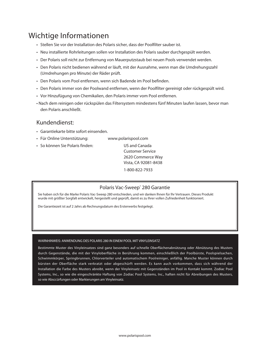#### Wichtige Informationen

- Stellen Sie vor der Installation des Polaris sicher, dass der Poolfilter sauber ist.
- • Neu installierte Rohrleitungen sollen vor Installation des Polaris sauber durchgespült werden.
- • Der Polaris soll nicht zur Entfernung von Mauerputzstaub bei neuen Pools verwendet werden.
- • Den Polaris nicht bedienen während er läuft, mit der Ausnahme, wenn man die Umdrehungszahl (Umdrehungen pro Minute) der Räder prüft.
- Den Polaris vom Pool entfernen, wenn sich Badende im Pool befinden.
- • Den Polaris immer von der Poolwand entfernen, wenn der Poolfilter gereinigt oder rückgespült wird.
- • Vor Hinzufügung von Chemikalien, den Polaris immer vom Pool entfernen.
- Nach dem reinigen oder rückspülen das Filtersystem mindestens fünf Minuten laufen lassen, bevor man den Polaris anschließt.

#### Kundendienst:

- • Garantiekarte bitte sofort einsenden.
- Für Online Unterstützung: www.polarispool.com
- So können Sie Polaris finden: US and Canada

 Customer Service 2620 Commerce Way Vista, CA 92081-8438 1-800-822-7933

#### Polaris Vac-Sweep<sup>®</sup> 280 Garantie

Sie haben sich für die Marke Polaris Vac-Sweep 280 entschieden, und wir danken lhnen für lhr Vertrauen. Dieses Produkt wurde mit größter Sorgfalt entwickelt, hergestellt und geprüft, damit es zu Ihrer vollen Zufriedenheit funktioniert.

Die Garantiezeit ist auf 2 Jahrs ab Rechnungsdatum des Ersterwerbs festgelegt.

#### WARNHINWEIS: ANWENDUNG DES POLARIS 280 IN EINEM POOL MIT VINYLEINSATZ

Bestimmte Muster des Vinyleinsatzes sind ganz besonders auf schnelle Oberflächenabnützung oder Abnützung des Musters durch Gegenstände, die mit der Vinyloberfläche in Berührung kommen, einschließlich der Poolbürste, Poolspielsachen, Schwimmkörper, Springbrunnen, Chlorverteiler und automatischem Poolreiniger, anfällig. Manche Muster können durch bürsten der Oberfläche stark verkratzt oder abgeschürft werden. Es kann auch vorkommen, dass sich während der Installation die Farbe des Musters abreibt, wenn der Vinyleinsatz mit Gegenständen im Pool in Kontakt kommt. Zodiac Pool Systems, Inc., so wie die eingeschränkte Haftung von Zodiac Pool Systems, Inc., haften nicht für Abreibungen des Musters, so wie Absccürfungen oder Markierungen am Vinyleinsatz.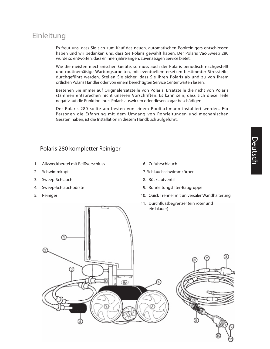#### Einleitung

Es freut uns, dass Sie sich zum Kauf des neuen, automatischen Poolreinigers entschlossen haben und wir bedanken uns, dass Sie Polaris gewählt haben. Der Polaris Vac-Sweep 280 wurde so entworfen, dass er Ihnen jahrelangen, zuverlässigen Service bietet.

Wie die meisten mechanischen Geräte, so muss auch der Polaris periodisch nachgestellt und routinemäßige Wartungsarbeiten, mit eventuellem ersetzen bestimmter Stressteile, durchgeführt werden. Stellen Sie sicher, dass Sie Ihren Polaris ab und zu von Ihrem örtlichen Polaris Händler oder von einem berechtigten Service Center warten lassen.

Bestehen Sie immer auf Originalersatzteile von Polaris. Ersatzteile die nicht von Polaris stammen entsprechen nicht unseren Vorschriften. Es kann sein, dass sich diese Teile negativ auf die Funktion Ihres Polaris auswirken oder diesen sogar beschädigen.

Der Polaris 280 sollte am besten von einem Poolfachmann installiert werden. Für Personen die Erfahrung mit dem Umgang von Rohrleitungen und mechanischen Geräten haben, ist die Installation in diesem Handbuch aufgeführt.

#### Polaris 280 kompletter Reiniger

- 1. Allzweckbeutel mit Reißverschluss
- 2. Schwimmkopf
- 3. Sweep-Schlauch
- 4. Sweep-Schlauchbürste
- 5. Reiniger

06. Zufuhrschlauch

07. Schlauchschwimmkörper

- 8. Rücklaufventil
- 9. Rohrleitungsfilter-Baugruppe
- 10. Quick Trenner mit universaler Wandhalterung
- 11. Durchflussbegrenzer (ein roter und ein blauer)

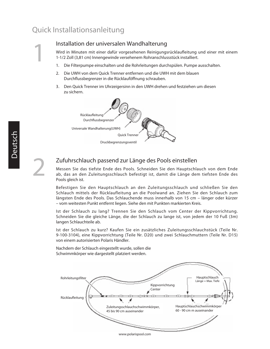#### Quick Installationsanleitung

Installation der universalen Wandhalterung

Wird in Minuten mit einer dafür vorgesehenen Reinigungsrücklaufleitung und einer mit einem 1-1/2 Zoll (3,81 cm) Innengewinde versehenem Rohranschlussstück installiert.

- 1. Die Filterpumpe einschalten und die Rohrleitungen durchspülen. Pumpe ausschalten.
- 2. Die UWH von dem Quick Trenner entfernen und die UWH mit dem blauen Durchflussbegrenzer in die Rücklauföffnung schrauben.
- 3. Den Quick Trenner im Uhrzeigersinn in den UWH drehen und festziehen um diesen zu sichern.



1

2

#### Zufuhrschlauch passend zur Länge des Pools einstellen

Messen Sie das tiefste Ende des Pools. Schneiden Sie den Hauptschlauch von dem Ende ab, das an den Zuleitungsschlauch befestigt ist, damit die Länge dem tiefsten Ende des Pools gleich ist.

Befestigen Sie den Hauptschlauch an den Zuleitungsschlauch und schließen Sie den Schlauch mittels der Rücklaufleitung an die Poolwand an. Ziehen Sie den Schlauch zum längsten Ende des Pools. Das Schlauchende muss innerhalb von 15 cm – länger oder kürzer – vom weitesten Punkt entfernt liegen. Siehe den mit Punkten markierten Kreis.

Ist der Schlauch zu lang? Trennen Sie den Schlauch vom Center der Kippvorrichtung. Schneiden Sie die gleiche Länge, die der Schlauch zu lange ist, von jedem der 10 Fuß (3m) langen Schlauchteile ab.

Ist der Schlauch zu kurz? Kaufen Sie ein zusätzliches Zuleitungsschlauchstück (Teile Nr. 9-100-3104), eine Kippvorrichtung (Teile Nr. D20) und zwei Schlauchmuttern (Teile Nr. D15) von einem autorisierten Polaris Händler.

Nachdem der Schlauch eingestellt wurde, sollen die Schwimmkörper wie dargestellt platziert werden.



www.polarispool.com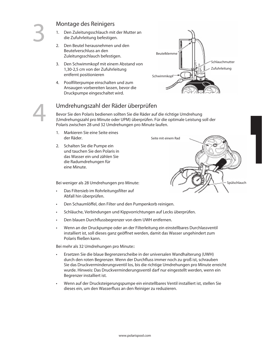4

#### Montage des Reinigers

- 1. Den Zuleitungsschlauch mit der Mutter an die Zufuhrleitung befestigen.
- 2. Den Beutel herausnehmen und den Beutelverschluss an den Zuleitungsschlauch befestigen.
- 3. Den Schwimmkopf mit einem Abstand von 1,30-2,5 cm von der Zufuhrleitung entfernt positionieren
- 4. Poolfilterpumpe einschalten und zum Ansaugen vorbereiten lassen, bevor die Druckpumpe eingeschaltet wird.



#### Umdrehungszahl der Räder überprüfen

Bevor Sie den Polaris bedienen sollten Sie die Räder auf die richtige Umdrehung (Umdrehungszahl pro Minute oder UPM) überprüfen. Für die optimale Leistung soll der Polaris zwischen 28 und 32 Umdrehungen pro Minute laufen.

- 1. Markieren Sie eine Seite eines der Räder.
- 2. Schalten Sie die Pumpe ein und tauchen Sie den Polaris in das Wasser ein und zählen Sie die Radumdrehungen für eine Minute.

Bei weniger als 28 Umdrehungen pro Minute:

- Das Filtersieb im Rohrleitungsfilter auf Abfall hin überprüfen.
- Den Schaumlöffel, den Filter und den Pumpenkorb reinigen.
- • Schläuche, Verbindungen und Kippvorrichtungen auf Lecks überprüfen.
- • Den blauen Durchflussbegrenzer von dem UWH entfernen.
- Wenn an der Druckpumpe oder an der Filterleitung ein einstellbares Durchlassventil installiert ist, soll dieses ganz geöffnet werden, damit das Wasser ungehindert zum Polaris fließen kann.

Bei mehr als 32 Umdrehungen pro Minute::

- Ersetzen Sie die blaue Begrenzerscheibe in der universalen Wandhalterung (UWH) durch den roten Begrenzer. Wenn der Durchfluss immer noch zu groß ist, schrauben Sie das Druckverminderungsventil los, bis die richtige Umdrehungen pro Minute erreicht wurde. Hinweis: Das Druckverminderungsventil darf nur eingestellt werden, wenn ein Begrenzer installiert ist.
- Wenn auf der Drucksteigerungspumpe ein einstellbares Ventil installiert ist, stellen Sie dieses ein, um den Wasserfluss an den Reiniger zu reduzieren.

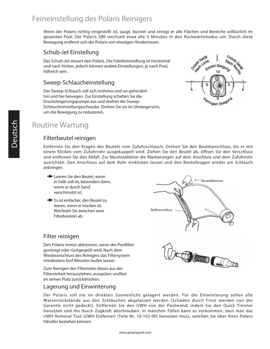#### Feineinstellung des Polaris Reinigers

Wenn der Polaris richtig eingestellt ist, saugt, bürstet und reinigt er alle Flächen und Bereiche willkürlich im gesamten Pool. Der Polaris 280 wechselt etwa alle 3 Minuten in den Rückwärtsmodus um. Durch diese Bewegung entfernt sich der Polaris von etwaigen Hindernissen.

#### Schub-Jet Einstellung

Das Schub-Jet steuert den Polaris. Die Fabrikeinstellung ist horizontal und nach hinten, jedoch können andere Einstellungen, je nach Pool, hilfreich sein.

#### Sweep-Schlaucheinstellung

Der Sweep-Schlauch soll sich mühelos und un-gehindert hin und her bewegen. Zur Einstellung schalten Sie die Drucksteigerungspumpe aus und drehen die Sweep-Schlaucheinstellungsschraube. Drehen Sie sie im Uhrzeigersinn, um die Bewegung zu reduzieren.



#### Routine Wartung

#### Filterbeutel reinigen

Entfernen Sie den Kragen des Beutels vom Zufuhrschlauch. Drehen Sie den Beutelanschluss, bis er mit einem Klicken vom Zufuhrrohr ausgekuppelt wird. Ziehen Sie den Beutel ab, öffnen Sie den Verschluss und entfernen Sie den Abfall. Zur Neuinstallation die Markierungen auf dem Anschluss und dem Zufuhrrohr ausrichten. Den Anschluss auf dem Rohr einklicken lassen und den Beutelkragen wieder am Schlauch anbringen.

- **►** Leeren Sie den Beutel, wenn er halb voll ist, besonders dann, wenn er durch Sand verschmutzt ist.
- Es ist einfacher, den Beutel zu leeren, wenn er trocken ist. Wechseln Sie zwischen zwei Filterbeuteln ab.



**COOL** 

#### Filter reinigen

Den Polaris immer abtrennen, wenn der Poolfilter gereinigt oder rückgespült wird. Nach dem Wiederanschluss des Reinigers das Filtersystem mindestens fünf Minuten laufen lassen.

Zum Reinigen des Filtersiebs dieses aus der Filtereinheit herausziehen, ausspülen undfest an seinen Platz zurückdrücken.

#### Lagerung und Einwinterung

Der Polaris soll nie im direkten Sonnenlicht gelagert werden. Für die Einwinterung sollen alle Wasserrückstände aus den Schläuchen abgelassen werden (Schäden durch Frost werden von der Garantie nicht gedeckt). Entfernen Sie den UWH von der Poolwand, indem Sie den Quick Trenner benutzen und ihn durch Zugkraft abschrauben. In manchen Fällen kann es vorkommen, dass man das UWH Removal Tool (UWH Entferner) (Teile Nr. 10-102-00) benutzen muss, welchen Sie über Ihren Polaris Händler beziehen können.

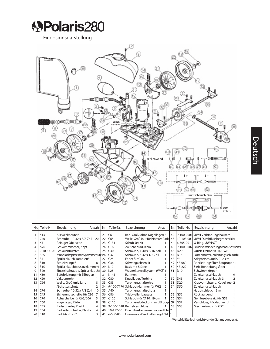

Explosionsdarstellung



| Nr.1 | Teile-Nr.      | Bezeichnung                         | Anzahl         | Nr.             | Teile-Nr.        | Bezeichnung                        | Anzahl | Nr. | Teile-Nr.       | Bezeichnung                               | Anzahl |
|------|----------------|-------------------------------------|----------------|-----------------|------------------|------------------------------------|--------|-----|-----------------|-------------------------------------------|--------|
|      | K13            | Allzweckbeutel*                     |                | 21              | C <sub>6</sub>   | Rad, Groß (ohne Kugellager) 3      |        | 42  |                 | 9-100-9001 UWH Verbindungsbausatz         |        |
|      | C40            | Schraube, 10-32 x 3/8 Zoll          | 20             | 22              | C65              | Welle, Groß (nur für hinteres Rad) |        | 43  | 10-108-00       | UWH Durchflussbegrenzerkit1               |        |
|      | K <sub>5</sub> | Reiniger Oberseite                  |                | 23              | C131             | Schub-Jet Kit                      |        | 44  | 6-505-00        | O-Ring, UWH/QT                            |        |
| 4    | A20            | Schwimmkörper, Kopf                 |                | 24              | C16              | Zwischenrad, klein                 |        | 45  | 9-100-9002      | Druckverminderungsventil, schwarz1        |        |
|      |                | 9-100-3105 Schlauchbürste*          |                | 25              | C30              | Schraube, 4-40 x 3/16 Zoll         |        | 46  | D29             | Quick-Trenner (QT), UWH                   |        |
| 6    | <b>B25</b>     | Mundlochspitze mit Spitzenschutz 26 |                |                 | C <sub>32</sub>  | Schraube, 6-32 x 1/2 Zoll          |        | 47  | D <sub>15</sub> | Düsenmutter, Zuleitungsschlau <b>Ch</b> 1 |        |
|      | <b>B5</b>      | Spülschlauch komplett*              |                | 27              | C <sub>25</sub>  | Feder für C36                      |        | 48  | **              | Adapterschlauch, 21,6 cm                  |        |
| 8    | <b>B10</b>     | Schleissringe*                      | 8              | 28              | C <sub>36</sub>  | Schwingachsenkit                   |        | 49  | 48-080          | Rohrleitungsfilter-Baugruppe 1            |        |
| 9    | <b>B15</b>     | Spülschlauchbausatzklammer1         |                | 29              | K10              | Basis mit Stütze                   |        | 50  | 48-222          | Sieb, Rohrleitungsfilter                  |        |
| l1 0 | <b>B20</b>     | Einstellschraube, Spülschlauch1     |                | 30 <sup>1</sup> | K <sub>25</sub>  | Wasserkontrollsystem (WKS) 1       |        | 51  | D <sub>10</sub> | Schwimmkörper,                            |        |
|      | K30            | Zufuhrleitung mit Ellbogen 1        |                | 31              | K145             | Rahmen                             |        |     |                 | Zuleitungsschlauch                        | 9      |
| 12   | K20            | Vakuumrohr                          |                | 32              | C80              | Kugellager, Turbine                |        | 52  | D <sub>45</sub> | Zuleitungsschlauch, 3 m                   |        |
| 13   | C66            | Welle, Groß (mit Sand               | 8              | 33              | C83              | Turbinenschaftrohre                |        | 53  | D <sub>20</sub> | Kippvorrichtung, Kugellager 2             |        |
|      |                | /Schotterschutz                     | $\overline{2}$ | 34              |                  | 9-100-7170 Schlauchklammer für WKS |        | 54  | D50             | Zuleitungsschlauch,                       |        |
| 14   | C76            | Schraube, 10-32 x 7/8 Zoll          | 10             | 35              | A40              | Turbinenschaftschutz               |        |     |                 | Hauptschlauch, 3 m                        |        |
| 15   | C45            | Sicherungsscheibe für C36           |                | 36              | C86              | Triebwellenbausatz                 |        | 55  | G52             | Rücklaufventil                            |        |
| 16   | C70            | Achsscheibe für C65/C66             | 3              | 37              | C <sub>120</sub> | Schlauch für C110, 19 cm           |        | 56  | G54             | Gehäusebausatz für G52                    |        |
| 17   | C60            | Kugellager, Räder                   | 8              | 38              | C <sub>110</sub> | Turbinenabdeckung mit Ellbogen57   |        |     | G57             | Verschluss, Rücklaufventil                |        |
| 18   | C55            | Radschraube, Plastik                | 4              | 39              | 9-100-1018       | Beutelverschluss                   |        | 58  | G53             | Mechanismus für G52                       |        |
| 19   | C64            | Radbeilagscheibe, Plastik           | 4              | 40              | 10-112-00        | Durchflussbegrenzer, rot und blau2 |        |     |                 |                                           |        |
| 20   | C10            | Rad, MaxTrax <sup>**</sup>          | 3              | 41              | 6-500-00         | Universale Wandhalterung (UWH)1    |        |     |                 |                                           |        |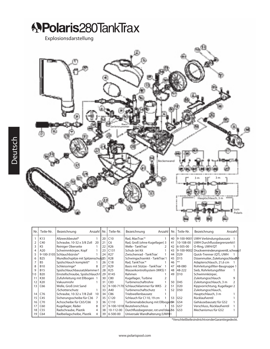**APolaris280TankTrax** 

Explosionsdarstellung



| Nr. | Teile-Nr.       | Bezeichnung<br>Anzahl   Nr. I      |    |    | Teile-Nr.        | Bezeichnung                                | Anzahl I | Nr. | Teile-Nr.       | Bezeichnung                        | Anzahl |
|-----|-----------------|------------------------------------|----|----|------------------|--------------------------------------------|----------|-----|-----------------|------------------------------------|--------|
|     | K13             | Allzweckbeutel*                    |    | 20 | C10              | Rad, MaxTrax <sup>**</sup>                 |          | 40  |                 | 9-100-9001 UWH Verbindungsbausatz  |        |
|     | C40             | Schraube, 10-32 x 3/8 Zoll         | 20 | 21 | C <sub>6</sub>   | Rad, Groß (ohne Kugellager) 3              |          | 41  | 10-108-00       | UWH Durchflussbegrenzerkit1        |        |
|     | K <sub>5</sub>  | Reiniger Oberseite                 |    | 22 | K26              | Welle - TankTrax®                          |          | 42  | 6-505-00        | O-Ring, UWH/QT                     |        |
|     | A20             | Schwimmkörper, Kopf                |    | 23 | C131             | Schub-Jet Kit                              |          | 43  | 9-100-9002      | Druckverminderungsventil, schwarz1 |        |
|     | 9-100-3105      | Schlauchbürste*                    |    | 24 | K27              | Zwischenrad - TankTrax®                    |          | 44  | D <sub>29</sub> | Quick-Trenner (QT), UWH            |        |
|     | <b>B25</b>      | Mundlochspitze mit Spitzenschutz25 |    |    | K28              | Schwingachsenkit - TankTrax <sup>®</sup> 1 |          | 45  | D <sub>15</sub> | Düsenmutter, Zuleitungsschlauch    |        |
|     | <b>B5</b>       | Spülschlauch komplett*             |    | 26 | C18              | Rad, TankTrax <sup>**</sup>                |          | 46  | **              | Adapterschlauch, 21,6 cm           |        |
|     | <b>B10</b>      | Schleissringe*                     | 8  | 27 | K29              | Basis mit Stütze - TankTrax®               |          | 47  | 48-080          | Rohrleitungsfilter-Baugruppe 1     |        |
|     | <b>B15</b>      | Spülschlauchbausatzklammer1        |    | 28 | K <sub>25</sub>  | Wasserkontrollsystem (WKS) 1               |          | 48  | 48-222          | Sieb, Rohrleitungsfilter           |        |
| 10  | <b>B20</b>      | Einstellschraube, Spülschlauch1    |    | 29 | K145             | Rahmen                                     |          | 49  | D10             | Schwimmkörper,                     |        |
|     | K30             | Zufuhrleitung mit Ellbogen         |    | 30 | C80              | Kugellager, Turbine                        |          |     |                 | Zuleitungsschlauch                 | 9      |
| 12  | K20             | Vakuumrohr                         |    | 31 | C83              | Turbinenschaftrohre                        |          | 50  | D45             | Zuleitungsschlauch, 3 m            |        |
| 13  | C66             | Welle, Groß (mit Sand              |    | 32 | 9-100-7170       | Schlauchklammer für WKS                    |          | 51  | D <sub>20</sub> | Kippvorrichtung, Kugellager 2      |        |
|     |                 | /Schotterschutz                    |    | 33 | A40              | Turbinenschaftschutz                       |          | 52  | D50             | Zuleitungsschlauch,                |        |
| 14  | C76             | Schraube, 10-32 x 7/8 Zoll         | 10 | 34 | C86              | Triebwellenbausatz                         |          |     |                 | Hauptschlauch, 3 m                 |        |
| 15  | C45             | Sicherungsscheibe für C36          |    | 35 | C <sub>120</sub> | Schlauch für C110, 19 cm                   |          | 53  | G52             | Rücklaufventil                     |        |
| 16  | C70             | Achsscheibe für C65/C66            | 3  | 36 | C <sub>110</sub> | Turbinenabdeckung mit Ellbogen54           |          |     | G54             | Gehäusebausatz für G52             |        |
|     | C60             | Kugellager, Räder                  | 8  | 37 |                  | 9-100-1018 Beutelverschluss                |          | 55  | G57             | Verschluss, Rücklaufventil         |        |
| 18  | C <sub>55</sub> | Radschraube, Plastik               | 4  | 38 | 10-112-00        | Durchflussbegrenzer, rot und blau 26       |          |     | G53             | Mechanismus für G52                |        |
| 19  | C64             | Radbeilagscheibe, Plastik          | 4  | 39 | 6-500-00         | Universale Wandhalterung (UWH)1            |          |     |                 |                                    |        |

\*VerschleißteilesindnichtvonderGarantiegedeckt.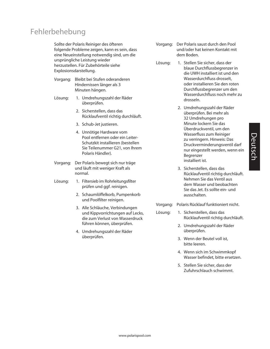#### Fehlerbehebung

Sollte der Polaris Reiniger des öfteren folgende Probleme zeigen, kann es sein, dass eine Neueinstellung notwendig sind, um die ursprüngliche Leistung wieder herzustellen. Für Zubehörteile siehe Explosionsdarstellung.

- Vorgang: Bleibt bei Stufen oderanderen Hindernissen länger als 3 Minuten hängen.
- Lösung: 1. Umdrehungszahl der Räder überprüfen.
	- 2. Sicherstellen, dass das Rücklaufventil richtig durchläuft.
	- 3. Schub-Jet justieren.
	- 4. Unnötige Hardware vom Pool entfernen oder ein Leiter-Schutzkit installieren (bestellen Sie Teilenummer G21, von Ihrem Polaris Händler).
- Vorgang: Der Polaris bewegt sich nur träge und läuft mit weniger Kraft als normal.
- Lösung: 1. Filtersieb im Rohrleitungsfilter prüfen und ggf. reinigen.
	- 2. Schaumlöffelkorb, Pumpenkorb und Poolfilter reinigen.
	- 3. Alle Schläuche, Verbindungen und Kippvorrichtungen auf Lecks, die zum Verlust von Wasserdruck führen können, überprüfen.
	- 4. Umdrehungszahl der Räder überprüfen.
- Vorgang: Der Polaris saust durch den Pool und/oder hat keinen Kontakt mit dem Boden.
- Lösung: 1. Stellen Sie sicher, dass der blaue Durchflussbegrenzer in die UWH installiert ist und den Wasserdurchfluss drosselt, oder installieren Sie den roten Durchflussbegrenzer um den Wasserdurchfluss noch mehr zu drosseln.
	- 2. Umdrehungszahl der Räder überprüfen. Bei mehr als 32 Umdrehungen pro Minute lockern Sie das Überdruckventil, um den Wasserfluss zum Reiniger zu verringern. Hinweis: Das Druckverminderungsventil darf nur eingestellt werden, wenn ein Begrenzer installiert ist.
	- 3. Sicherstellen, dass das Rücklaufventil richtig durchläuft. Nehmen Sie das Ventil aus dem Wasser und beobachten Sie das Jet. Es sollte ein- und ausschalten.
- Vorgang: Polaris Rücklauf funktioniert nicht.
- Lösung: 1. Sicherstellen, dass das Rücklaufventil richtig durchläuft.
	- 2. Umdrehungszahl der Räder überprüfen.
	- 3. Wenn der Beutel voll ist, bitte leeren.
	- 4. Wenn sich im Schwimmkopf Wasser befindet, bitte ersetzen.
	- 5. Stellen Sie sicher, dass der Zufuhrschlauch schwimmt.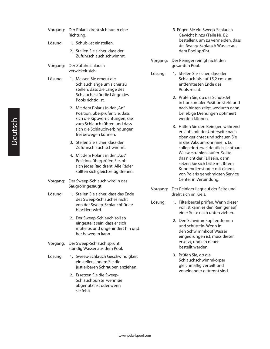- Vorgang: Der Polaris dreht sich nur in eine Richtung.
- Lösung: 1. Schub-Jet einstellen.
	- 2. Stellen Sie sicher, dass der Zufuhrschlauch schwimmt.
- Vorgang: Der Zufuhrschlauch verwickelt sich.
- Lösung: 1. Messen Sie erneut die Schlauchlänge um sicher zu stellen, dass die Länge des Schlauches für die Länge des Pools richtig ist.
	- 2. Mit dem Polaris in der "An" Position, überprüfen Sie, dass sich die Kippvorrichtungen, die zum Schlauch führen und dass sich die Schlauchverbindungen frei bewegen können.
	- 3. Stellen Sie sicher, dass der Zufuhrschlauch schwimmt.
	- 4. Mit dem Polaris in der "Aus" Position, überprüfen Sie, ob sich jedes Rad dreht. Alle Räder sollten sich gleichzeitig drehen.
- Vorgang: Der Sweep-Schlauch wird in das Saugrohr gesaugt.
- Lösung: 1. Stellen Sie sicher, dass das Ende des Sweep-Schlauches nicht von der Sweep-Schlauchbürste blockiert wird.
	- 2. Der Sweep-Schlauch soll so eingestellt sein, dass er sich mühelos und ungehindert hin und her bewegen kann.
- Vorgang: Der Sweep-Schlauch sprüht ständig Wasser aus dem Pool.
- Lösung: 1. Sweep-Schlauch Geschwindigkeit einstellen, indem Sie die justierbaren Schrauben anziehen.
	- 2. Ersetzen Sie die Sweep-Schlauchbürste wenn sie abgenutzt ist oder wenn sie fehlt.
- 3. Fügen Sie ein Sweep-Schlauch Gewicht hinzu (Teile Nr. B2 bestellen), um zu vermeiden, dass der Sweep-Schlauch Wasser aus dem Pool sprüht.
- Vorgang: Der Reiniger reinigt nicht den gesamten Pool.
- Lösung: 1. Stellen Sie sicher, dass der Schlauch bis auf 15,2 cm zum entferntesten Ende des Pools reicht.
	- 2. Prüfen Sie, ob das Schub-Jet in horizontaler Position steht und nach hinten zeigt, wodurch dann beliebige Drehungen optimiert werden können.
	- 3. Halten Sie den Reiniger, während er läuft, mit der Unterseite nach oben gerichtet und schauen Sie in das Vakuumrohr hinein. Es sollen dort zwei deutlich sichtbare Wasserstrahlen laufen. Sollte das nicht der Fall sein, dann setzen Sie sich bitte mit Ihrem Kundendienst oder mit einem von Polaris genehmigten Service Center in Verbindung.
- Vorgang: Der Reiniger liegt auf der Seite und dreht sich im Kreis.
- Lösung: 1. Filterbeutel prüfen. Wenn dieser voll ist kann es den Reiniger auf einer Seite nach unten ziehen.
	- 2. Den Schwimmkopf entfernen und schütteln. Wenn in den Schwimmkopf Wasser eingedrungen ist, muss dieser ersetzt, und ein neuer bestellt werden.
	- 3. Prüfen Sie, ob die Schlauchschwimmkörper gleichmäßig verteilt und voneinander getrennt sind.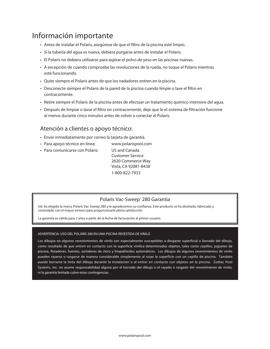#### Información importante

- • Antes de instalar el Polaris, asegúrese de que el filtro de la piscina esté limpio.
- • Si la tubería del agua es nueva, debiera purgarse antes de instalar el Polaris.
- • El Polaris no debiera utilizarse para aspirar el polvo de yeso en las piscinas nuevas.
- • A excepción de cuando compruebe las revoluciones de la rueda, no toque el Polaris mientras esté funcionando.
- • Quite siempre el Polaris antes de que los nadadores entren en la piscina.
- • Desconecte siempre el Polaris de la pared de la piscina cuando limpie o lave el filtro en contracorriente.
- • Retire siempre el Polaris de la piscina antes de efectuar un tratamiento químico intensivo del agua.
- • Después de limpiar o lavar el filtro en contracorriente, deje que le el sistema de filtración funcione al menos durante cinco minutos antes de volver a conectar el Polaris.

#### Atención a clientes o apoyo técnico:

- • Envíe inmediatamente por correo la tarjeta de garantía.
- Para apoyo técnico en línea: www.polarispool.com
- Para comunicarse con Polaris: US and Canada

 Customer Service 2620 Commerce Way Vista, CA 92081-8438 1-800-822-7933

#### Polaris Vac-Sweep® 280 Garantia

Ud. ha elegido la marca Polaris Vac-Sweep 280 y le agradecemos su confianza. Este producto se ha diseñado, fabricado y controlado con el mayor esmero para proporcionarle plena satisfacción

La garantía es válida para 2 años a partir de la fecha de facturación al primer usuario.

#### ADVERTENCIA: USO DEL POLARIS 280 EN UNA PISCINA REVESTIDA DE VINILO

Los dibujos en algunos revestimientos de vinilo son especialmente susceptibles a desgaste superficial o borrado del dibujo, como resultado de que entren en contacto con la superficie vinílica determinados objetos, tales como cepillos, juguetes de piscina, flotadores, fuentes, surtidores de cloro y limpiafondos automáticos. Los dibujos de algunos revestimientos de vinilo pueden rayarse o rasgarse de manera considerable simplemente al rozar la superficie con un cepillo de piscina. También puede borrarse la tinta del dibujo durante la instalación o al entrar en contacto con objetos en la piscina. Zodiac Pool Systems, Inc. no asume responsabilidad alguna por el borrado del dibujo o el rayado o rasgado del revestimiento de vinilo, ni la garantía limitada cubre estas contingencias.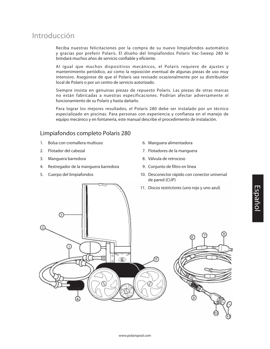#### Introducción

Reciba nuestras felicitaciones por la compra de su nuevo limpiafondos automático y gracias por preferir Polaris. El diseño del limpiafondos Polaris Vac-Sweep 280 le brindará muchos años de servicio confiable y eficiente.

Al igual que muchos dispositivos mecánicos, el Polaris requiere de ajustes y mantenimiento periódico, así como la reposición eventual de algunas piezas de uso muy intensivo. Asegúrese de que el Polaris sea revisado ocasionalmente por su distribuidor local de Polaris o por un centro de servicio autorizado.

Siempre insista en genuinas piezas de repuesto Polaris. Las piezas de otras marcas no están fabricadas a nuestras especificaciones. Podrían afectar adversamente el funcionamiento de su Polaris y hasta dañarlo.

Para lograr los mejores resultados, el Polaris 280 debe ser instalado por un técnico especializado en piscinas. Para personas con experiencia y confianza en el manejo de equipo mecánico y en fontanería, este manual describe el procedimiento de instalación.

#### Limpiafondos completo Polaris 280

- 1. Bolsa con cremallera multiuso
- 2. Flotador del cabezal
- 3. Manguera barredora
- 4. Restregador de la manguera barredora
- 5. Cuerpo del limpiafondos
- 06. Manguera alimentadora
- 7. Flotadores de la manguera
- 08. Válvula de retroceso
- 9. Conjunto de filtro en línea
- 10. Desconector rápido con conector universal de pared (CUP)
- 11. Discos restrictores (uno rojo y uno azul)

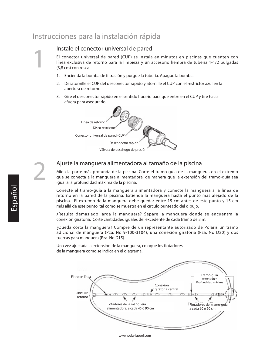#### Instrucciones para la instalación rápida

#### Instale el conector universal de pared

El conector universal de pared (CUP) se instala en minutos en piscinas que cuenten con línea exclusiva de retorno para la limpieza y un accesorio hembra de tubería 1-1/2 pulgadas (3,8 cm) con rosca.

- 1. Encienda la bomba de filtración y purque la tubería. Apaque la bomba.
- 2. Desatornille el CUP del desconector rápido y atornille el CUP con el restrictor azul en la abertura de retorno.
- 3. Gire el desconector rápido en el sentido horario para que entre en el CUP y tire hacia afuera para asegurarlo.



1

2

#### Ajuste la manguera alimentadora al tamaño de la piscina

Mida la parte más profunda de la piscina. Corte el tramo-guía de la manguera, en el extremo que se conecta a la manguera alimentadora, de manera que la extensión del tramo-guía sea igual a la profundidad máxima de la piscina.

Conecte el tramo-guía a la manguera alimentadora y conecte la manguera a la línea de retorno en la pared de la piscina. Extienda la manguera hasta el punto más alejado de la piscina. El extremo de la manguera debe quedar entre 15 cm antes de este punto y 15 cm más allá de este punto, tal como se muestra en el círculo punteado del dibujo.

¿Resulta demasiado larga la manguera? Separe la manguera donde se encuentra la conexión giratoria. Corte cantidades iguales del excedente de cada tramo de 3 m.

¿Queda corta la manguera? Compre de un representante autorizado de Polaris un tramo adicional de manguera (Pza. No 9-100-3104), una conexión giratoria (Pza. No D20) y dos tuercas para manguera (Pza. No D15).

Una vez ajustada la extensión de la manguera, coloque los flotadores de la manguera como se indica en el diagrama.



#### www.polarispool.com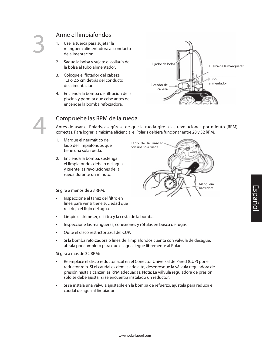#### Arme el limpiafondos

- 1. Use la tuerca para sujetar la manguera alimentadora al conducto de alimentación.
- 2. Saque la bolsa y sujete el collarín de la bolsa al tubo alimentador.
- 3. Coloque el flotador del cabezal 1,3 ó 2,5 cm detrás del conducto de alimentación.
- 4. Encienda la bomba de filtración de la piscina y permita que cebe antes de encender la bomba reforzadora.



Manguera barredora



#### Compruebe las RPM de la rueda

Antes de usar el Polaris, asegúrese de que la rueda gire a las revoluciones por minuto (RPM) correctas. Para lograr la máxima eficiencia, el Polaris debiera funcionar entre 28 y 32 RPM.

> Lado de la unidad con una sola rueda

- 1. Marque el neumático del lado del limpiafondos que tiene una sola rueda.
- 2. Encienda la bomba, sostenga el limpiafondos debajo del agua y cuente las revoluciones de la rueda durante un minuto.

Si gira a menos de 28 RPM:

- Inspeccione el tamiz del filtro en línea para ver si tiene suciedad que restrinja el flujo del agua.
- • Limpie el skimmer, el filtro y la cesta de la bomba.
- Inspeccione las mangueras, conexiones y rótulas en busca de fugas.
- Ouite el disco restrictor azul del CUP.
- • Si la bomba reforzadora o línea del limpiafondos cuenta con válvula de desagüe, ábrala por completo para que el agua llegue libremente al Polaris.

Si gira a más de 32 RPM:

- • Reemplace el disco reductor azul en el Conector Universal de Pared (CUP) por el reductor rojo. Si el caudal es demasiado alto, desenrosque la válvula reguladora de presión hasta alcanzar las RPM adecuadas. Nota: La válvula reguladora de presión sólo se debe ajustar si se encuentra instalado un reductor.
- Si se instala una válvula ajustable en la bomba de refuerzo, ajústela para reducir el caudal de agua al limpiador.

www.polarispool.com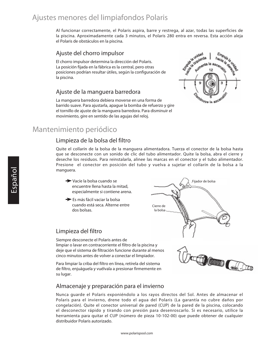#### Ajustes menores del limpiafondos Polaris

Al funcionar correctamente, el Polaris aspira, barre y restrega, al azar, todas las superficies de la piscina. Aproximadamente cada 3 minutos, el Polaris 280 entra en reversa. Esta acción aleja el Polaris de obstáculos en la piscina.

#### Ajuste del chorro impulsor

El chorro impulsor determina la dirección del Polaris. La posición fijada en la fábrica es la central, pero otras posiciones podrían resultar útiles, según la configuración de la piscina.

#### Ajuste de la manguera barredora

La manguera barredora debiera moverse en una forma de barrido suave. Para ajustarla, apague la bomba de refuerzo y gire el tornillo de ajuste de la manguera barredora. Para disminuir el movimiento, gire en sentido de las agujas del reloj.



Fijador de bolsa

#### Mantenimiento periódico

#### Limpieza de la bolsa del filtro

Quite el collarín de la bolsa de la manguera alimentadora. Tuerza el conector de la bolsa hasta que se desconecte con un sonido de clic del tubo alimentador. Quite la bolsa, abra el cierre y deseche los residuos. Para reinstalarla, alinee las marcas en el conector y el tubo alimentador. Presione el conector en posición del tubo y vuelva a sujetar el collarín de la bolsa a la manguera.

> Cierre de la bolsa

- Vacíe la bolsa cuando se encuentre llena hasta la mitad, especialmente si contiene arena.
- Es más fácil vaciar la bolsa cuando está seca. Alterne entre dos bolsas.

#### Limpieza del filtro

Siempre desconecte el Polaris antes de limpiar o lavar en contracorriente el filtro de la piscina y deje que el sistema de filtración funcione durante al menos cinco minutos antes de volver a conectar el limpiador.

Para limpiar la criba del filtro en línea, retírela del sistema de filtro, enjuáguela y vuélvala a presionar firmemente en su lugar.

#### Almacenaje y preparación para el invierno

Nunca guarde el Polaris exponiéndolo a los rayos directos del Sol. Antes de almacenar el Polaris para el invierno, drene todo el agua del Polaris (La garantía no cubre daños por congelación). Quite el conector universal de pared (CUP) de la pared de la piscina, colocando el desconector rápido y tirando con presión para desenroscarlo. Si es necesario, utilice la herramienta para quitar el CUP (número de pieza 10-102-00) que puede obtener de cualquier distribuidor Polaris autorizado.

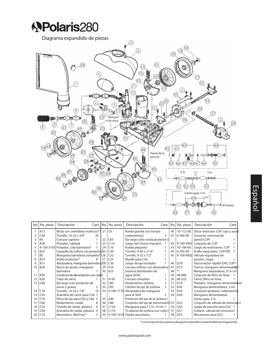

Diagrama expandido de piezas



|    | No. No. pieza  | Descripción<br>Cant. No.               |                 | No. pieza        | Descripción                         | Cant. |    | No. No. pieza   | Descripción<br>Cant.                |  |
|----|----------------|----------------------------------------|-----------------|------------------|-------------------------------------|-------|----|-----------------|-------------------------------------|--|
|    | K13            | Bolsa con cremallera multiuso*1 21     |                 | C <sub>6</sub>   | Rueda grande (no incluye            |       | 40 | 10-112-00       | Disco restrictor, CUP, rojo y azulp |  |
|    | C40            | Tornillo, 10-32 x 3/8"<br>20           |                 |                  | rodamientos)                        |       | 41 | 6-500-00        | Conector universal de               |  |
|    | K <sub>5</sub> | Carcasa superior                       | 22              | C65              | Eje largo (sólo rueda posterior)1   |       |    |                 | pared (CUP)                         |  |
|    | A20            | Flotador, cabezal                      | 23              | C131             | Juego del chorro impulsor           |       | 42 | 9-100-9001      | Conjunto de CUP                     |  |
|    |                | 9-100-3105 Frotador, cola barredora*   | 24              | C16              | Rueda pequeña                       |       | 43 | 10-108-00       | Juego de restrictores, CUP          |  |
| 6  | <b>B25</b>     | Casquillo de orificio con protector 25 |                 | C30              | Tornillo, 4-40 x 3/16"              |       | 44 | 6-505-00        | Anillo espaciador, CUP/DR           |  |
|    | <b>B5</b>      | Manguera barredora completa*           | 26              | C <sub>32</sub>  | Tornillo, 6-32 x 1/2"               |       | 45 | 9-100-9002      | Válvula reguladora de               |  |
|    | <b>B10</b>     | Anillo protector*<br>8                 | 27              | C <sub>25</sub>  | Muelle para C36                     |       |    |                 | presión, negra                      |  |
| q  | <b>B15</b>     | Abrazadera, manguera barredora 128     |                 | C <sub>36</sub>  | Juego de eje oscilador              |       | 46 | D <sub>29</sub> | Desconector rápido (DR), CUP1       |  |
| 10 | <b>B20</b>     | Rosca de ajuste, manguera              | 29              | K10              | Carcasa inferior con abrazadera     |       | 47 | D15             | Tuerca, manguera alimentado@1       |  |
|    |                | barredora                              | 30              | K <sub>25</sub>  | Sistema distribuidor de             |       | 48 | $***$           | Manguera adaptadora, 21,6 cm        |  |
| 11 | K30            | Conducto de alimentación con codo1     |                 |                  | agua (SDA)                          |       | 49 | 48-080          | Conjunto de filtro en línea         |  |
| 12 | K20            | Tubo de vacío                          | 31              | K145             | Carcasa completa                    |       | 50 | 48-222          | Tamiz, filtro en línea              |  |
| 13 | C66            | Eje largo (con protector de            | 32              | C80              | Rodamiento, turbina                 |       | 51 | D <sub>10</sub> | Flotador, manguera alimentadora9    |  |
|    |                | arena y grava)<br>$\mathcal{P}$        | 33              | C83              | Cilindro de eje de turbina          |       | 52 | D45             | Manguera alimentadora, 3 m2         |  |
| 14 | C76            | Tornillo, 10-32 x 7/8"<br>10           | 34              | 9-100-7170       | Abrazadera de manquera              |       | 53 | D <sub>20</sub> | Conexión giratoria, rodamientoß     |  |
| 15 | C45            | Arandela de cierre para C36 7          |                 |                  | para el SDA                         |       | 54 | D50             | Manguera alimentadora,              |  |
| 16 | C70            | Placa de eje para C65 y C66 3          | 35              | A40              | Protector del eje de la turbina 1   |       |    |                 | tramo-quía, 3 m                     |  |
| 17 | C60            | Rodamiento, rueda<br>8                 | 36              | C86              | Conjunto del eje de transmisión 155 |       |    | G52             | Conjunto de válvula de retroceso1   |  |
| 18 | C55            | Tornillo de rueda, plástico<br>4       | 37              | C120             | Manguera para C110, 19 cm 1         |       | 56 | G54             | Juego de estuche para G52 1         |  |
| 19 | C64            | Arandela de rueda, plástico 4          | 38              | C <sub>110</sub> | TCubierta de turbina con codo 1     |       | 57 | G57             | Collarín, válvula de retroceso1     |  |
| 20 | C10            | Neumático, MaxTrax <sup>®*</sup>       | 39 <sup>1</sup> |                  | 9-100-1018 Fijador para bolsa       |       | 58 | G53             | Mecanismo para G52                  |  |

\*Loscomponentessujetosadesgastenoquedancomprendidosporlagarantía.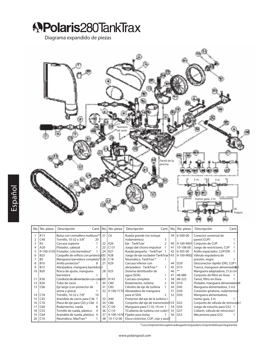**APolaris280TankTrax** 

Diagrama expandido de piezas



\*Loscomponentessujetosadesgastenoquedancomprendidosporlagarantía.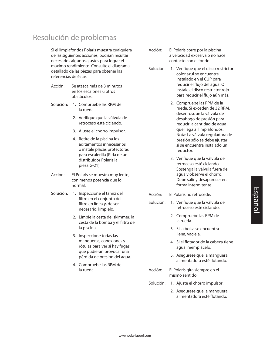#### Resolución de problemas

Si el limpiafondos Polaris muestra cualquiera de las siguientes acciones, podrían resultar necesarios algunos ajustes para lograr el máximo rendimiento. Consulte el diagrama detallado de las piezas para obtener las referencias de éstas.

- Acción: Se atasca más de 3 minutos en los escalones u otros obstáculos.
- Solución: 1. Compruebe las RPM de la rueda.
	- 2. Verifique que la válvula de retroceso esté ciclando.
	- 3. Ajuste el chorro impulsor.
	- 4. Retire de la piscina los aditamentos innecesarios o instale placas protectoras para escalerilla (Pida de un distribuidor Polaris la pieza G-21).
- Acción: El Polaris se muestra muy lento, con menos potencia que lo normal.
- Solución: 1. Inspeccione el tamiz del filtro en el conjunto del filtro en línea y, de ser necesario, límpielo.
	- 2. Limpie la cesta del skimmer, la cesta de la bomba y el filtro de la piscina.
	- 3. Inspeccione todas las mangueras, conexiones y rótulas para ver si hay fugas que pudieran provocar una pérdida de presión del agua.
	- 4. Compruebe las RPM de la rueda.
- Acción: El Polaris corre por la piscina a velocidad excesiva o no hace contacto con el fondo.
- Solución: 1. Verifique que el disco restrictor color azul se encuentre instalado en el CUP para reducir el flujo del agua. O instale el disco restrictor rojo para reducir el flujo aún más.
	- 2. Compruebe las RPM de la rueda. Si exceden de 32 RPM, desenrosque la válvula de desahogo de presión para reducir la cantidad de agua que llega al limpiafondos. Nota: La válvula reguladora de presión sólo se debe ajustar si se encuentra instalado un reductor.
	- 3. Verifique que la válvula de retroceso esté ciclando. Sostenga la válvula fuera del agua y observe el chorro. Debe salir y desaparecer en forma intermitente.
- Acción: El Polaris no retrocede.
- Solución: 1. Verifique que la válvula de retroceso esté ciclando.
	- 2. Compruebe las RPM de la rueda.
	- 3. Si la bolsa se encuentra llena, vacíela.
	- 4. Si el flotador de la cabeza tiene agua, reemplácelo.
	- 5. Asegúrese que la manguera alimentadora esté flotando.
- Acción: El Polaris gira siempre en el mismo sentido.
- Solución: 1. Ajuste el chorro impulsor.
	- 2. Asegúrese que la manguera alimentadora esté flotando.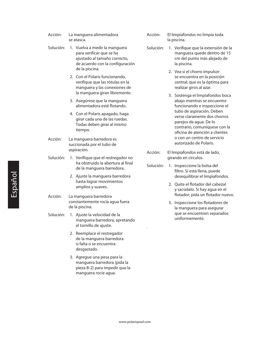- Acción: La manguera alimentadora se atasca.
- Solución: 1. Vuelva a medir la manguera para verificar que se ha ajustado al tamaño correcto, de acuerdo con la configuración de la piscina.
	- 2. Con el Polaris funcionando, verifique que las rótulas en la manguera y las conexiones de la manguera giran libremente.
	- 3. Asegúrese que la manguera alimentadora esté flotando.
	- 4. Con el Polaris apagado, haga girar cada una de las ruedas. Todas deben girar al mismo tiempo.
- Acción: La manguera barredora es succionada por el tubo de aspiración.
- Solución: 1. Verifique que el restregador no ha obstruido la abertura al final de la manguera barredora.
	- 2. Ajuste la manguera barredora hasta lograr movimientos amplios y suaves.
- Acción: La manguera barredora constantemente rocía agua fuera de la piscina.
- Solución: 1. Ajuste la velocidad de la manguera barredora, apretando el tornillo de ajuste.
	- 2. Reemplace el restregador de la manguera barredora si falta o se encuentra desgastado.
	- 3. Agregue una pesa para la manguera barredora (pida la pieza B-2) para impedir que la manguera rocíe agua.
- Acción: El limpiafondos no limpia toda la piscina.
- Solución: 1. Verifique que la extensión de la manguera quede dentro de 15 cm del punto más alejado de la piscina.
	- 2. Vea si el chorro impulsor se encuentra en la posición central, que es la óptima para realizar giros al azar.
	- 3. Sostenga el limpiafondos boca abajo mientras se encuentre funcionando e inspeccione el tubo de aspiración. Deben verse claramente dos chorros parejos de agua. De lo contrario, comuníquese con la oficina de atención a clientes o con un centro de servicio autorizado de Polaris.
- Acción: El limpiafondos está de lado, girando en círculos.
- Solución: 1. Inspeccione la bolsa del filtro. Si está llena, puede desequilibrar el limpiafondos.
	- 2. Quite el flotador del cabezal y sacúdalo. Si hay agua en el flotador, pida un flotador nuevo.
	- 3. Inspeccione los flotadores de la manguera para asegurar que se encuentren separados uniformemente.

.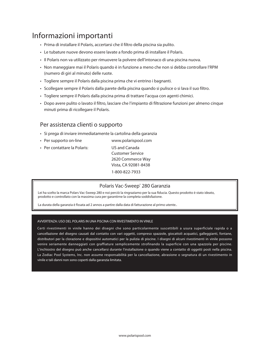#### Informazioni importanti

- • Prima di installare il Polaris, accertarsi che il filtro della piscina sia pulito.
- • Le tubature nuove devono essere lavate a fondo prima di installare il Polaris.
- • Il Polaris non va utilizzato per rimuovere la polvere dell'intonaco di una piscina nuova.
- • Non maneggiare mai il Polaris quando è in funzione a meno che non si debba controllare l'RPM (numero di giri al minuto) delle ruote.
- • Togliere sempre il Polaris dalla piscina prima che vi entrino i bagnanti.
- • Scollegare sempre il Polaris dalla parete della piscina quando si pulisce o si lava il suo filtro.
- • Togliere sempre il Polaris dalla piscina prima di trattare l'acqua con agenti chimici.
- • Dopo avere pulito o lavato il filtro, lasciare che l'impianto di filtrazione funzioni per almeno cinque minuti prima di ricollegare il Polaris.

#### Per assistenza clienti o supporto

- • Si prega di inviare immediatamente la cartolina della garanzia
- Per supporto on-line **WWW.polarispool.com**
- Per contattare la Polaris: US and Canada

 Customer Service 2620 Commerce Way Vista, CA 92081-8438 1-800-822-7933

#### Polaris Vac-Sweep<sup>®</sup> 280 Garanzia

Lei ha scelto la marca Polars Vac-Sweep 280 e noi perciò la ringraziamo per la sua fiducia. Questo prodotto è stato ideato, prodotto e controllato con la massima cura per garantirne la completa soddisfazione.

La durata della garanzia è fissata ad 2 annos a partire dalla data di fatturazione al primo utente..

#### AVVERTENZA: USO DEL POLARIS IN UNA PISCINA CON RIVESTIMENTO IN VINILE

Certi rivestimenti in vinile hanno dei disegni che sono particolarmente suscettibili a usura superficiale rapida o a cancellazione del disegno causati dal contatto con vari oggetti, compreso spazzole, giocattoli acquatici, galleggianti, fontane, distributori per la clorazione e dispositivi automatici per la pulizia di piscine. I disegni di alcuni rivestimenti in vinile possono venire seriamente danneggiati con graffiature semplicemente strofinando la superficie con una spazzola per piscine. L'inchiostro del disegno può anche cancellarsi durante l'installazione o quando viene a contatto di oggetti posti nella piscina. La Zodiac Pool Systems, Inc. non assume responsabilità per la cancellazione, abrasione o segnatura di un rivestimento in vinile e tali danni non sono coperti dalla garanzia limitata.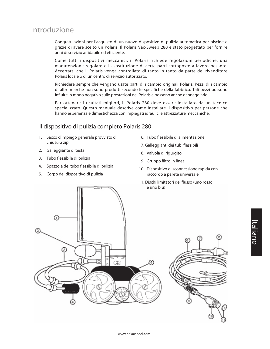#### Introduzione

Congratulazioni per l'acquisto di un nuovo dispositivo di pulizia automatica per piscine e grazie di avere scelto un Polaris. Il Polaris Vac-Sweep 280 è stato progettato per fornire anni di servizio affidabile ed efficiente.

Come tutti i dispositivi meccanici, il Polaris richiede regolazioni periodiche, una manutenzione regolare e la sostituzione di certe parti sottoposte a lavoro pesante. Accertarsi che il Polaris venga controllato di tanto in tanto da parte del rivenditore Polaris locale o di un centro di servizio autorizzato.

Richiedere sempre che vengano usate parti di ricambio originali Polaris. Pezzi di ricambio di altre marche non sono prodotti secondo le specifiche della fabbrica. Tali pezzi possono influire in modo negativo sulle prestazioni del Polaris e possono anche danneggiarlo.

Per ottenere i risultati migliori, il Polaris 280 deve essere installato da un tecnico specializzato. Questo manuale descrive come installare il dispositivo per persone che hanno esperienza e dimestichezza con impiegati idraulici e attrezzature meccaniche.

#### Il dispositivo di pulizia completo Polaris 280

- 1. Sacco d'impiego generale provvisto di chiusura zip
- 2. Galleggiante di testa
- 3. Tubo flessibile di pulizia
- 4. Spazzola del tubo flessibile di pulizia
- 5. Corpo del dispositivo di pulizia
- 06. Tubo flessibile di alimentazione
- 07. Galleggianti dei tubi flessibili
- 8. Valvola di rigurgito
- 9. Gruppo filtro in linea
- 10. Dispositivo di sconnessione rapida con raccordo a parete universale
- 11. Dischi limitatori del flusso (uno rosso e uno blu)



# Italiano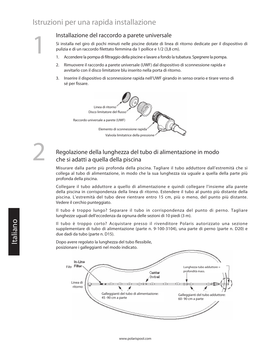#### Istruzioni per una rapida installazione

1

2

#### Installazione del raccordo a parete universale

Si installa nel giro di pochi minuti nelle piscine dotate di linea di ritorno dedicate per il dispositivo di pulizia e di un raccordo filettato femmina da 1 pollice e 1/2 (3,8 cm).

- 1. Accendere la pompa di filtraggio della piscine e lavare a fondo la tubatura. Spegnere la pompa.
- 2. Rimuovere il raccordo a parete universale (UWF) dal dispositivo di sconnessione rapida e avvitarlo con il disco limitatore blu inserito nella porta di ritorno.
- 3. Inserire il dispositivo di sconnessione rapida nell'UWF girando in senso orario e tirare verso di sé per fissare.



#### Regolazione della lunghezza del tubo di alimentazione in modo che si adatti a quella della piscina

Misurare dalla parte più profonda della piscina. Tagliare il tubo adduttore dall'estremità che si collega al tubo di alimentazione, in modo che la sua lunghezza sia uguale a quella della parte più profonda della piscina.

Collegare il tubo adduttore a quello di alimentazione e quindi collegare l'insieme alla parete della piscina in corrispondenza della linea di ritorno. Estendere il tubo al punto più distante della piscina. L'estremità del tubo deve rientrare entro 15 cm, più o meno, del punto più distante. Vedere il cerchio punteggiato.

Il tubo è troppo lungo? Separare il tubo in corrispondenza del punto di perno. Tagliare lunghezze uguali dell'eccedenza da ognuna delle sezioni di 10 piedi (3 m).

Il tubo è troppo corto? Acquistare presso il rivenditore Polaris autorizzato una sezione supplementare di tubo di alimentazione (parte n. 9-100-3104), una parte di perno (parte n. D20) e due dadi da tubo (parte n. D15).

Dopo avere regolato la lunghezza del tubo flessibile, posizionare i galleggianti nel modo indicato.

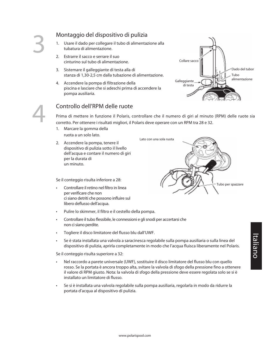4

#### Montaggio del dispositivo di pulizia

- 1. Usare il dado per collegare il tubo di alimentazione alla tubatura di alimentazione.
- 2. Estrarre il sacco e serrare il suo cinturino sul tubo di alimentazione.
- 3. Sistemare il galleggiante di testa alla di stanza di 1,30-2,5 cm dalla tubazione di alimentazione.
- 4. Accendere la pompa di filtrazione della piscina e lasciare che si adeschi prima di accendere la pompa ausiliaria.



#### Controllo dell'RPM delle ruote

Prima di mettere in funzione il Polaris, controllare che il numero di giri al minuto (RPM) delle ruote sia corretto. Per ottenere i risultati migliori, il Polaris deve operare con un RPM tra 28 e 32.

- 1. Marcare la gomma della ruota a un solo lato.
- 2. Accendere la pompa, tenere il dispositivo di pulizia sotto il livello dell'acqua e contare il numero di giri per la durata di un minuto.

Se il conteggio risulta inferiore a 28:

- • Controllare il retino nel filtro in linea per verificare che non ci siano detriti che possono influire sul libero deflusso dell'acqua.
- • Pulire lo skimmer, il filtro e il cestello della pompa.
- Controllare il tubo flessibile, le connessioni e gli snodi per accertarsi che non ci siano perdite.
- Togliere il disco limitatore del flusso blu dall'UWF.
- • Se è stata installata una valvola a saracinesca regolabile sulla pompa ausiliaria o sulla linea del dispositivo di pulizia, aprirla completamente in modo che l'acqua fluisca liberamente nel Polaris.

Se il conteggio risulta superiore a 32:

- Nel raccordo a parete universale (UWF), sostituire il disco limitatore del flusso blu con quello rosso. Se la portata è ancora troppo alta, svitare la valvola di sfogo della pressione fino a ottenere il valore di RPM giusto. Nota: la valvola di sfogo della pressione deve essere regolata solo se si è installato un limitatore di flusso.
- • Se si è installata una valvola regolabile sulla pompa ausiliaria, regolarla in modo da ridurre la portata d'acqua al dispositivo di pulizia.

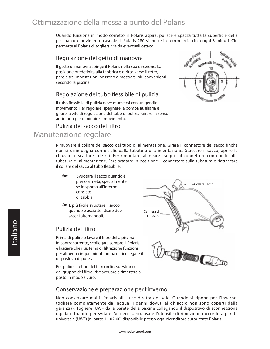#### Ottimizzazione della messa a punto del Polaris

Quando funziona in modo corretto, il Polaris aspira, pulisce e spazza tutta la superficie della piscina con movimento casuale. Il Polaris 280 si mette in retromarcia circa ogni 3 minuti. Ciò permette al Polaris di togliersi via da eventuali ostacoli.

#### Regolazione del getto di manovra

Il getto di manovra spinge il Polaris nella sua direzione. La posizione predefinita alla fabbrica è diritto verso il retro, però altre impostazioni possono dimostrarsi più convenienti secondo la piscina.

#### Regolazione del tubo flessibile di pulizia

Il tubo flessibile di pulizia deve muoversi con un gentile movimento. Per regolare, spegnere la pompa ausiliaria e girare la vite di regolazione del tubo di pulizia. Girare in senso antiorario per diminuire il movimento.

## **Furth** anato **Aumenta** la 12

#### Pulizia del sacco del filtro Manutenzione regolare

Rimuovere il collare del sacco dal tubo di alimentazione. Girare il connettore del sacco finché non si disimpegna con un clic dalla tubatura di alimentazione. Staccare il sacco, aprire la chiusura e scartare i detriti. Per rimontare, allineare i segni sul connettore con quelli sulla tubatura di alimentazione. Fare scattare in posizione il connettore sulla tubatura e riattaccare il collare del sacco al tubo flessibile.

- Svuotare il sacco quando è pieno a metà, specialmente se lo sporco all'interno consiste di sabbia.
- $\rightarrow$  È più facile svuotare il sacco quando è asciutto. Usare due sacchi alternandoli.

#### Pulizia del filtro

Prima di pulire o lavare il filtro della piscina in controcorrente, scollegare sempre il Polaris e lasciare che il sistema di filtrazione funzioni per almeno cinque minuti prima di ricollegare il dispositivo di pulizia.

Per pulire il retino del filtro in linea, estrarlo dal gruppo del filtro, risciacquare e rimettere a posto in modo sicuro.





#### Conservazione e preparazione per l'inverno

Non conservare mai il Polaris alla luce diretta del sole. Quando si ripone per l'inverno, togliere completamente dall'acqua (i danni dovuti al ghiaccio non sono coperti dalla garanzia). Togliere lUWF dalla parete della piscine collegando il dispositivo di sconnessione rapida e tirando per svitare. Se necessario, usare l'utensile di rimozione raccordo a parete universale (UWF) (n. parte 1-102-00) disponibile presso ogni rivenditore autorizzato Polaris.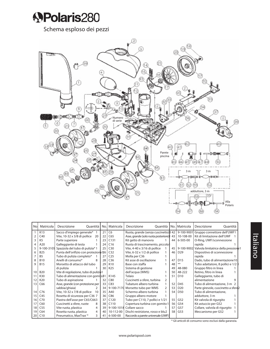

Schema esploso dei pezzi



| No. | Matricola      | Descrizione<br>Quantità               | No. | Matricola        | Descrizione<br>Quantità              |               | lNo. | Matricola       | Descrizione<br>Quantità                         |  |
|-----|----------------|---------------------------------------|-----|------------------|--------------------------------------|---------------|------|-----------------|-------------------------------------------------|--|
|     | K13            | Sacco d'impiego generale*             | 21  | C <sub>6</sub>   | Ruota, grande (senza cuscinetto) 842 |               |      |                 | 9-100-9001 Gruppo connettore dell'UWF1          |  |
|     | C40            | Vite, 10-32 x 3/8 di pollice<br>20    | 22  | C65              | Asse, grande (solo ruota posteriore) |               | 43   | 10-108-00       | Kit di limitazione dell'UWF                     |  |
| 3   | K <sub>5</sub> | Parte superiore                       | 23  | C131             | Kit getto di manovra                 |               | 44   | 6-505-00        | O-Ring, UWF/sconnessione                        |  |
| 4   | A20            | Galleggiante di testa                 | 24  | C16              | Ruota di trascinamento, piccola      |               |      |                 | rapida                                          |  |
| 5   | 9-100-3105     | Spazzola del tubo di pulizia*1        | 25  | C30              | Vite, 4-40 x 3/16 di pollice         |               | 45   |                 | 9-100-9002 Valvola limitatrice della pressione1 |  |
| 6   | <b>B25</b>     | Punta dell'orifizio con protezione 26 |     | C <sub>32</sub>  | Vite, 6-32 x 1/2 di pollice          |               | 46   | D <sub>29</sub> | Dispositivo di sconnessione                     |  |
|     | <b>B5</b>      | Tubo di pulizia completo*             | 27  | C <sub>25</sub>  | Molla per C36                        |               |      |                 | rapida                                          |  |
| 8   | <b>B10</b>     | Anelli di consumo*<br>8               | 28  | C <sub>36</sub>  | Kit asse di oscillazione             |               | 47   | D <sub>15</sub> | Dado, tubo di alimentazione10                   |  |
| 9   | <b>B15</b>     | Morsetto di attacco del tubo          | 29  | K10              | Base con staffa                      |               | 48   | $***$           | Tubo adattatore, 8 pollici e 1/2                |  |
|     |                | di pulizia                            | 30  | K25              | Sistema di gestione                  |               | 49   | 48-080          | Gruppo filtro in linea                          |  |
| 10  | <b>B20</b>     | Vite di regolazione, tubo di pulizia1 |     |                  | dell'acqua (WMS)                     |               | 50   | 48-222          | Retino, filtro in linea                         |  |
| 11  | K30            | Tubo di alimentazione con gomito31    |     | K145             | Telaio                               |               | 51   | D <sub>10</sub> | Galleggiante, tubo di                           |  |
| 12  | K20            | Tubo di aspirazione                   | 32  | C80              | Cuscinetti a sfere, turbina          | $\mathcal{P}$ |      |                 | alimentazione                                   |  |
| 13  | C66            | Asse, grande (con protezione per      | 33  | C83              | Tubature albero turbina              |               | 52   | D45             | Tubo di alimentazione, 3 m 2                    |  |
|     |                | sabbia/ghiaia)<br>$\mathcal{P}$       | 34  |                  | 9-100-7170 Morsetto tubo per WMS     | 2             | 53   | D <sub>20</sub> | Parte girevole, cuscinetto a sfere2             |  |
| 14  | C76            | Vite, 10-32 x 7/8 di pollice<br>10    | 35  | A40              | Schermo albero turbina               |               | 54   | D50             | Tubo di alimentazione,                          |  |
| 15  | C45            | Rosetta di sicurezza per C36 7        | 36  | C86              | Gruppo albero motore                 |               |      |                 | adduttore, 3 m                                  |  |
| 16  | C70            | Piastra dell'asse per C65/C663        | 37  | C120             | Tubo per C110, 7 pollici e 1/21      |               | 55   | G52             | Kit valvola di rigurgito                        |  |
| 17  | C60            | Cuscinetti a sfere, ruote<br>8        | 38  | C <sub>110</sub> | Copertura turbina con gomito 1       |               | 56   | G54             | Kit astuccio per G52                            |  |
| 18  | C55            | 4<br>Vite ruota, plastica             | 39  |                  | 9-100-1018 Collare sacco             |               | 57   | G57             | Collare, valvola di rigurgito                   |  |
| 19  | C64            | Rosetta ruota, plastica<br>4          | 40  | 10-112-00        | Dischi restrizione, rosso e blu2     |               | 58   | G53             | Meccanismo per G52                              |  |
| 20  | C10            | 3<br>Pneumatico, MaxTrax <sup>*</sup> | 41  | 6-500-00         | Raccordo a parete universale (UWF)1  |               |      |                 |                                                 |  |

\* Gli articoli di consumo sono esclusi dalla garanzia.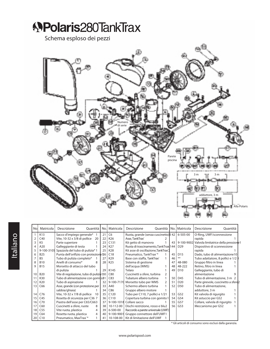# **APolaris280TankTrax** Schema esploso dei pezzi Numero di serie Parete piscina 3 m = 1 m adduttore, 3 m Alla Polaris

| No. | Matricola       | Descrizione<br>Ouantità                  | No. | Matricola       | Descrizione<br>Ouantità                         |   |      | No.   Matricola | Descrizione<br>Quantità              |  |
|-----|-----------------|------------------------------------------|-----|-----------------|-------------------------------------------------|---|------|-----------------|--------------------------------------|--|
|     | K13             | Sacco d'impiego generale*                | 21  | C <sub>6</sub>  | Ruota, grande (senza cuscinetto) 842            |   |      | 6-505-00        | O-Ring, UWF/sconnessione             |  |
|     | C40             | Vite, 10-32 x 3/8 di pollice<br>20       | 22  | K26             | Asse, TankTrax <sup>®</sup>                     |   |      |                 | rapida                               |  |
|     | K <sub>5</sub>  | Parte superiore                          | 23  | C131            | Kit getto di manovra                            |   | 43   | 9-100-9002      | Valvola limitatrice della pressione1 |  |
|     | A20             | Galleggiante di testa                    | 24  | K27             | Ruota di trascinamento, TankTrax <sup>144</sup> |   |      | D <sub>29</sub> | Dispositivo di sconnessione          |  |
| 5   | 9-100-3105      | Spazzola del tubo di pulizia*1           | 25  | K28             | Kit asse di oscillazione, TankTrax <sup>®</sup> |   |      |                 | rapida                               |  |
| 6   | <b>B25</b>      | Punta dell'orifizio con protezione 26    |     | C18             | Pneumatico, TankTrax <sup>*</sup>               |   | 45   | D <sub>15</sub> | Dado, tubo di alimentazione10        |  |
|     | B <sub>5</sub>  | Tubo di pulizia completo*                | 27  | K29             | Base con staffa, TankTrax®                      |   | 46   | $***$           | Tubo adattatore, 8 pollici e 1/2     |  |
| 8   | <b>B10</b>      | Anelli di consumo*<br>8                  | 28  | K <sub>25</sub> | Sistema di gestione                             |   | 47   | 48-080          | Gruppo filtro in linea               |  |
| 9   | <b>B15</b>      | Morsetto di attacco del tubo             |     |                 | dell'acqua (WMS)                                |   | 48   | 48-222          | Retino, filtro in linea              |  |
|     |                 | di pulizia                               | 29  | K145            | Telaio                                          |   | 49   | D <sub>10</sub> | Galleggiante, tubo di                |  |
| 10  | <b>B20</b>      | Vite di regolazione, tubo di pulizia 130 |     | C80             | Cuscinetti a sfere, turbina                     | 2 |      |                 | alimentazione                        |  |
| 11  | K30             | Tubo di alimentazione con gomito31       |     | C83             | Tubature albero turbina                         |   | 50   | D45             | Tubo di alimentazione, 3 m 2         |  |
| 12  | K20             | Tubo di aspirazione                      | 32  | 9-100-7170      | Morsetto tubo per WMS                           | 2 | 51   | D <sub>20</sub> | Parte girevole, cuscinetto a sfere2  |  |
| 13  | C66             | Asse, grande (con protezione per         | 33  | A40             | Schermo albero turbina                          |   | 52   | D <sub>50</sub> | Tubo di alimentazione,               |  |
|     |                 | sabbia/ghiaia)                           | 34  | C86             | Gruppo albero motore                            |   |      |                 | adduttore, 3 m                       |  |
| 14  | C76             | Vite, 10-32 x 7/8 di pollice<br>10       | 35  | C120            | Tubo per C110, 7 pollici e 1/21                 |   | 53   | G52             | Kit valvola di rigurgito             |  |
| 15  | C45             | Rosetta di sicurezza per C36 7           | 36  | C110            | Copertura turbina con gomito 1                  |   | 54   | G54             | Kit astuccio per G52                 |  |
| 16  | C70             | Piastra dell'asse per C65/C663           | 37  | 9-100-1018      | Collare sacco                                   |   | 55   | G57             | Collare, valvola di rigurgito        |  |
| 17  | C60             | Cuscinetti a sfere, ruote<br>8           | 38  | 10-112-00       | Dischi restrizione, rosso e blu2                |   | 56 l | G53             | Meccanismo per G52                   |  |
| 18  | C <sub>55</sub> | Vite ruota, plastica<br>4                | 39  | 6-500-00        | Raccordo a parete universale (UWF)              |   |      |                 |                                      |  |
| 19  | C64             | Rosetta ruota, plastica<br>4             | 40  | 9-100-9001      | Gruppo connettore dell'UWF1                     |   |      |                 |                                      |  |
| 20  | C10             | Pneumatico, MaxTrax <sup>*</sup>         | 41  | 10-108-00       | Kit di limitazione dell'UWF                     |   |      |                 |                                      |  |

\* Gli articoli di consumo sono esclusi dalla garanzia.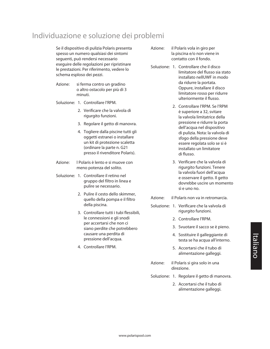#### Individuazione e soluzione dei problemi

Se il dispositivo di pulizia Polaris presenta spesso un numero qualsiasi dei sintomi seguenti, può rendersi necessario eseguire delle regolazioni per ripristinare le prestazioni. Per riferimento, vedere lo schema esploso dei pezzi.

- Azione: si ferma contro un gradino o altro ostacolo per più di 3 minuti.
- Soluzione: 1. Controllare l'RPM.
	- 2. Verificare che la valvola di rigurgito funzioni.
	- 3. Regolare il getto di manovra.
	- 4. Togliere dalla piscine tutti gli oggetti estranei o installare un kit di protezione scaletta (ordinare la parte n. G21 presso il rivenditore Polaris).
- Azione: l Polaris è lento e si muove con meno potenza del solito.
- Soluzione: 1. Controllare il retino nel gruppo del filtro in linea e pulire se necessario.
	- 2. Pulire il cesto dello skimmer, quello della pompa e il filtro della piscina.
	- 3. Controllare tutti i tubi flessibili, le connessioni e gli snodi per accertarsi che non ci siano perdite che potrebbero causare una perdita di pressione dell'acqua.
	- 4. Controllare l'RPM.
- Azione: il Polaris vola in giro per la piscina e/o non viene in contatto con il fondo.
- Soluzione: 1. Controllare che il disco limitatore del flusso sia stato installato nellUWF in modo da ridurre la portata. Oppure, installare il disco limitatore rosso per ridurre ulteriormente il flusso.
	- 2. Controllare l'RPM. Se l'RPM è superiore a 32, svitare la valvola limitatrice della pressione e ridurre la porta dell'acqua nel dispositivo di pulizia. Nota: la valvola di sfogo della pressione deve essere regolata solo se si è installato un limitatore di flusso.
	- 3. Verificare che la valvola di rigurgito funzioni. Tenere la valvola fuori dell'acqua e osservare il getto. Il getto dovrebbe uscire un momento sì e uno no.
- Azione: il Polaris non va in retromarcia.
- Soluzione: 1. Verificare che la valvola di rigurgito funzioni.
	- 2. Controllare l'RPM.
	- 3. Svuotare il sacco se è pieno.
	- 4. Sostituire il galleggiante di testa se ha acqua all'interno.
	- 5. Accertarsi che il tubo di alimentazione galleggi.
- Azione: il Polaris si gira solo in una direzione.
- Soluzione: 1. Regolare il getto di manovra.
	- 2. Accertarsi che il tubo di alimentazione galleggi.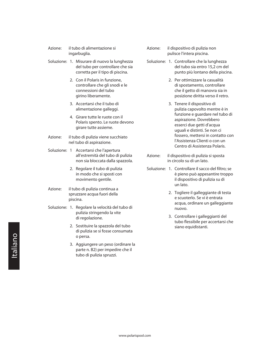| Azione: | il tubo di alimentazione si |
|---------|-----------------------------|
|         | ingarbuglia.                |

- Soluzione: 1. Misurare di nuovo la lunghezza del tubo per controllare che sia corretta per il tipo di piscina.
	- 2. Con il Polaris in funzione, controllare che gli snodi e le connessioni del tubo girino liberamente.
	- 3. Accertarsi che il tubo di alimentazione galleggi.
	- 4. Girare tutte le ruote con il Polaris spento. Le ruote devono girare tutte assieme.
- Azione: il tubo di pulizia viene succhiato nel tubo di aspirazione.
- Soluzione: 1 Accertarsi che l'apertura all'estremità del tubo di pulizia non sia bloccata dalla spazzola.
	- 2. Regolare il tubo di pulizia in modo che si sposti con movimento gentile.
- Azione: il tubo di pulizia continua a spruzzare acqua fuori della piscina.
- Soluzione: 1. Regolare la velocità del tubo di pulizia stringendo la vite di regolazione.
	- 2. Sostituire la spazzola del tubo di pulizia se si fosse consumata o persa.
	- 3. Aggiungere un peso (ordinare la parte n. B2) per impedire che il tubo di pulizia spruzzi.
- Azione: il dispositivo di pulizia non pulisce l'intera piscina.
- Soluzione: 1. Controllare che la lunghezza del tubo sia entro 15,2 cm del punto più lontano della piscina.
	- 2. Per ottimizzare la casualità di spostamento, controllare che il getto di manovra sia in posizione diritta verso il retro.
	- 3. Tenere il dispositivo di pulizia capovolto mentre è in funzione e guardare nel tubo di aspirazione. Dovrebbero esserci due getti d'acqua uguali e distinti. Se non ci fossero, mettersi in contatto con l'Assistenza Clienti o con un Centro di Assistenza Polaris.
- Azione: il dispositivo di pulizia si sposta in circolo su di un lato.
- Soluzione: 1. Controllare il sacco del filtro: se è pieno può appesantire troppo il dispositivo di pulizia su di un lato.
	- 2. Togliere il galleggiante di testa e scuoterlo. Se vi è entrata acqua, ordinare un galleggiante nuovo.
	- 3. Controllare i galleggianti del tubo flessibile per accertarsi che siano equidistanti.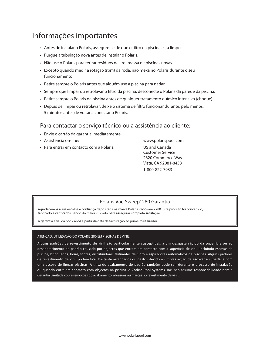#### Informações importantes

- • Antes de instalar o Polaris, assegure-se de que o filtro da piscina está limpo.
- • Purgue a tubulação nova antes de instalar o Polaris.
- • Não use o Polaris para retirar resíduos de argamassa de piscinas novas.
- • Excepto quando medir a rotação (rpm) da roda, não mexa no Polaris durante o seu funcionamento.
- Retire sempre o Polaris antes que alguém use a piscina para nadar.
- • Sempre que limpar ou retrolavar o filtro da piscina, desconecte o Polaris da parede da piscina.
- • Retire sempre o Polaris da piscina antes de qualquer tratamento químico intensivo (choque).
- Depois de limpar ou retrolavar, deixe o sistema de filtro funcionar durante, pelo menos, 5 minutos antes de voltar a conectar o Polaris.

#### Para contactar o serviço técnico ou a assistência ao cliente:

- • Envie o cartão da garantia imediatamente.
- Assistência on-line: www.polarispool.com
- Para entrar em contacto com a Polaris: US and Canada

 Customer Service 2620 Commerce Way Vista, CA 92081-8438 1-800-822-7933 

#### Polaris Vac-Sweep<sup>®</sup> 280 Garantia

Agradecemos a sua escolha e confiança depositada na marca Polaris Vac-Sweep 280. Este produto foi concebido, fabricado e verificado usando do maior cuidado para assegurar completa satisfação.

A garantia é válida por 2 anos a partir da data de facturação ao primeiro utilizador.

#### ATENÇÃO: UTILIZAÇÃO DO POLARIS 280 EM PISCINAS DE VINIL

Alguns padrões de revestimento de vinil são particularmente susceptíveis a um desgaste rápido da superfície ou ao desaparecimento do padrão causado por objectos que entram em contacto com a superfície de vinil, incluindo escovas de piscina, brinquedos, bóias, fontes, distribuidores flutuantes de cloro e aspiradores automáticos de piscinas. Alguns padrões de revestimento de vinil podem ficar bastante arranhados ou gastos devido à simples acção de escovar a superfície com uma escova de limpar piscinas. A tinta do acabamento do padrão também pode sair durante o processo de instalação ou quando entra em contacto com objectos na piscina. A Zodiac Pool Systems, Inc. não assume responsabilidade nem a Garantia Limitada cobre remoções do acabamento, abrasões ou marcas no revestimento de vinil.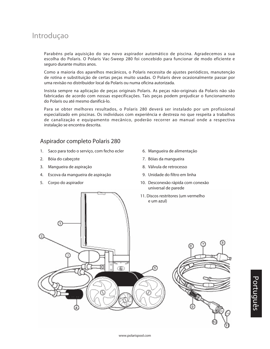#### Introduçao

Parabéns pela aquisição do seu novo aspirador automático de piscina. Agradecemos a sua escolha do Polaris. O Polaris Vac-Sweep 280 foi concebido para funcionar de modo eficiente e seguro durante muitos anos.

Como a maioria dos aparelhos mecânicos, o Polaris necessita de ajustes periódicos, manutenção de rotina e substituição de certas peças muito usadas. O Polaris deve ocasionalmente passar por uma revisão no distribuidor local da Polaris ou numa oficina autorizada.

Insista sempre na aplicação de peças originais Polaris. As peças não-originais da Polaris não são fabricadas de acordo com nossas especificações. Tais peças podem prejudicar o funcionamento do Polaris ou até mesmo danificá-lo.

Para se obter melhores resultados, o Polaris 280 deverá ser instalado por um profissional especializado em piscinas. Os indivíduos com experiência e destreza no que respeita a trabalhos de canalização e equipamento mecânico, poderão recorrer ao manual onde a respectiva instalação se encontra descrita.

#### Aspirador completo Polaris 280

- 1. Saco para todo o serviço, com fecho ecler
- 2. Bóia do cabeçote
- 3. Mangueira de aspiração
- 4. Escova da mangueira de aspiração
- 5. Corpo do aspirador
- 06. Mangueira de alimentação
- 7. Bóias da mangueira
- 08. Válvula de retrocesso
- 09. Unidade do filtro em linha
- 10. Desconexão rápida com conexão universal de parede
- 11. Discos restritores (um vermelho e um azul)

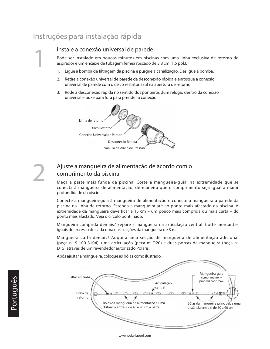#### Instruções para instalação rápida

1

2

#### Instale a conexão universal de parede

Pode ser instalado em poucos minutos em piscinas com uma linha exclusiva de retorno do aspirador e um encaixe de tubagem fêmea roscado de 3,8 cm (1,5 pol.).

- 1. Ligue a bomba de filtragem da piscina e purgue a canalização. Desligue a bomba.
- 2. Retire a conexão universal de parede da desconexão rápida e enrosque a conexão universal de parede com o disco restritor azul na abertura de retorno.
- 3. Rode a desconexão rápida no sentido dos ponteiros dum relógio dentro da conexão universal e puxe para fora para prender a conexão.



#### Ajuste a mangueira de alimentação de acordo com o comprimento da piscina

Meça a parte mais funda da piscina. Corte a mangueira-guia, na extremidade que se conecta à mangueira de alimentação, de maneira que o comprimento seja igual à maior profundidade da piscina.

Conecte a mangueira-guia à mangueira de alimentação e conecte a mangueira à parede da piscina na linha de retorno. Estenda a mangueira até ao ponto mais afastado da piscina. A extremidade da mangueira deve ficar a 15 cm – um pouco mais comprida ou mais curta – do ponto mais afastado. Veja o círculo pontilhado.

Mangueira comprida demais? Separe a mangueira na articulação central. Corte montantes iguais do excesso de cada uma das secções da mangueira de 3 m.

Mangueira curta demais? Adquira uma secção de mangueira de alimentação adicional (peça nº 9-100-3104), uma articulação (peça nº D20) e duas porcas de mangueira (peça nº D15) através de um revendedor autorizado Polaris.

Após ajustar a mangueira, coloque as bóias como ilustrado.

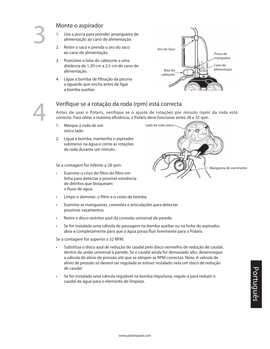4

#### Monte o aspirador

- 1. Use a porca para prender amangueira de alimentação ao cano de alimentação.
- 2. Retire o saco e prenda o aro do saco ao cano de alimentação.
- 3. Posicione a bóia do cabeçote a uma distância de 1,30 cm a 2,5 cm do cano de alimentação.
- 4. Ligue a bomba de filtração da piscina a aguarde que encha antes de ligar a bomba auxiliar.



#### Verifique se a rotação da roda (rpm) está correcta

Antes de usar o Polaris, verifique se o ajuste de rotações por minuto (rpm) da roda está correcto. Para obter a máxima eficiência, o Polaris deve funcionar entre 28 e 32 rpm.

- 1. Marque a roda de um único lado.
- 2. Lique a bomba, mantenha o aspirador submerso na água e conte as rotações da roda durante um minuto.

Se a contagem for inferior a 28 rpm:

- • Examine o crivo do filtro do filtro em linha para detectar a possível existência de detritos que bloqueiam o fluxo de água.
- Limpe o skimmer, o filtro e o cesto da bomba.
- • Examine as mangueiras, conexões e articulações para detectar possíveis vazamentos.
- Retire o disco restritor azul da conexão universal de parede.
- • Se for instalada uma válvula de passagem na bomba auxiliar ou na linha do aspirador, abra-a completamente para que a água possa fluir livremente para o Polaris.

Se a contagem for superior a 32 RPM:

- Substitua o disco azul de redução de caudal pelo disco vermelho de redução de caudal, dentro da união universal à parede. Se o caudal ainda for demasiado alto, desenrosque a válvula de alívio de pressão até que se atinjam as RPM correctas. Nota: A válvula de alívio de pressão só deverá ser regulada se estiver instalado nela um disco de redução de caudal.
- Se for instalada uma válvula regulável na bomba impulsora, regule-a para reduzir o caudal de água para o elemento de limpeza.

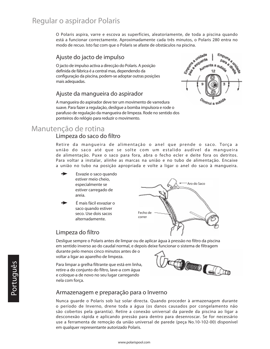#### Regular o aspirador Polaris

O Polaris aspira, varre e escova as superfícies, aleatoriamente, de toda a piscina quando está a funcionar correctamente. Aproximadamente cada três minutos, o Polaris 280 entra no

#### Ajuste do jacto de impulso

modo de recuo. Isto faz com que o Polaris se afaste de obstáculos na piscina.<br>Ajuste do jacto de impulso<br>Ojacto de impulso activa a direcção do Polaris André definida de fábrica é a cri Ojacto de impulso activa a direcção do Polaris. A posição definida de fábrica é a central mas, dependendo da configuração da piscina, podem-se adoptar outras posições mais adequadas.

#### Ajuste da mangueira do aspirador

a a unidade Ciera a un pumenta minui a su<sup>go</sup>

A mangueira do aspirador deve ter um movimento de varredura suave. Para fazer a regulação, desligue a bomba impulsora e rode o parafuso de regulação da mangueira de limpeza. Rode no sentido dos ponteiros do relógio para reduzir o movimento.

#### Manutenção de rotina

#### Limpeza do saco do filtro

Retire da mangueira de alimentação o anel que prende o saco. Torça a união do saco até que se solte com um estalido audível da mangueira de alimentação. Puxe o saco para fora, abra o fecho ecler e deite fora os detritos. Para voltar a instalar, alinhe as marcas na união e no tubo de alimentação. Encaixe a união no tubo na posição apropriada e volte a ligar o anel do saco à mangueira.

Esvazie o saco quando estiver meio cheio, especialmente se estiver carregado de areia.

É mais fácil esvaziar o saco quando estiver seco. Use dois sacos alternadamente.

# Aro do Saco Fecho de correr

#### Limpeza do filtro

Desligue sempre o Polaris antes de limpar ou de aplicar água à pressão no filtro da piscina em sentido inverso ao do caudal normal, e depois deixe funcionar o sistema de filtragem

durante pelo menos cinco minutos antes de o voltar a ligar ao aparelho de limpeza.

Para limpar a grelha filtrante que está em linha, retire-a do conjunto do filtro, lave-a com água e coloque-a de novo no seu lugar carregando nela com força.



#### Armazenagem e preparação para o Inverno

Nunca guarde o Polaris sob luz solar directa. Quando proceder à armazenagem durante o período de Inverno, drene toda a água (os danos causados por congelamento não são cobertos pela garantia). Retire a conexão universal da parede da piscina ao ligar a desconexão rápida e aplicando pressão para dentro para desenroscar. Se for necessário use a ferramenta de remoção da união universal de parede (peça No.10-102-00) disponível em qualquer representante autorizado Polaris.

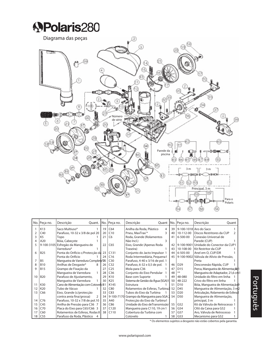## **APolaris280**



|    | No. Peça no.    | Descrição<br>Quant.                 |    | No. Peça no.    | Descrição                                      |    | Quant No. Peca no. | Descrição<br>Ouant                |  |
|----|-----------------|-------------------------------------|----|-----------------|------------------------------------------------|----|--------------------|-----------------------------------|--|
|    | K13             | Saco Multiuso*                      | 19 | C64             | Anilha da Roda, Plástico<br>4                  | 39 |                    | 9-100-1018 Aro do Saco            |  |
|    | C40             | Parafuso, 10-32 x 3/8 de pol 20     | 20 | C10             | 3<br>Pneu, MaxTrax <sup>**</sup>               | 40 | 10-112-00          | Discos Restritores da CUP         |  |
|    | K <sub>5</sub>  | Topo                                | 21 | C <sub>6</sub>  | Roda, Grande (Rolamentos                       | 41 | $6 - 500 - 00$     | Conexão Universal de              |  |
| Δ  | A20             | Bóia, Cabecote                      |    |                 | 3<br>Não Incl.)                                |    |                    | Parede (CUP)                      |  |
|    |                 | 9-100-3105 Esfregão da Mangueira de | 22 | C65             | Eixo, Grande (Apenas Roda                      | 42 | 9-100-9001         | Unidade do Conector da CUP1       |  |
|    |                 | Varredura*                          |    |                 | Traseira)                                      | 43 | 10-108-00          | Kit Restritor da CUP              |  |
| 6  | <b>B25</b>      | Ponta do Orifício c/Protecção da 23 |    | C131            | Conjunto do Jacto Impulsor 1                   | 44 | 6-505-00           | Anel em O, CUP/DR                 |  |
|    |                 | Ponta do Orifício                   | 24 | C16             | Roda Intermediária, Pequena1                   | 45 | 9-100-9002         | Válvula de Alívio de Pressão.     |  |
|    | <b>B5</b>       | Mangueira de Varredura Completa*25  |    | C30             | Parafuso, 4-40 x 3/16 de pol. 1                |    |                    | Preta                             |  |
|    | <b>B10</b>      | Anilhas de Desgaste*<br>8           | 26 | C <sub>32</sub> | Parafuso, 6-32 x 0,5 de pol.                   | 46 | D <sub>29</sub>    | Desconexão Rápida, CUP            |  |
| c  | <b>B15</b>      | Grampo de Fixação da                | 27 | C <sub>25</sub> | Mola para C36                                  | 47 | D <sub>15</sub>    | Porca, Mangueira de Alimentação 1 |  |
|    |                 | Manqueira de Varredura              | 28 | C36             | Conjunto do Eixo Pendular                      | 48 |                    | Mangueira de Adaptador, 21,6 cm 1 |  |
| 10 | <b>B20</b>      | Parafuso de Ajustamento,            | 29 | K10             | <b>Base com Suporte</b>                        | 49 | 48-080             | Unidade do filtro em linha        |  |
|    |                 | Mangueira de Varredura              | 30 | K <sub>25</sub> | Sistema de Gestão da Água (SGA)1               | 50 | 48-222             | Crivo do filtro em linha          |  |
| 11 | K30             | Cano de Alimentação com Cotovelo B1 |    | K145            | Estrutura                                      | 51 | D10                | Bóia, Mangueira de Alimentação 9  |  |
| 12 | K20             | Tubo de Vácuo                       | 32 | C80             | Rolamentos de Esferas, Turbina <sup>1</sup> 52 |    | D45                | Mangueira de Alimentação, 3 m2    |  |
| 13 | C66             | Eixo, Grande (c/protecção           | 33 | C83             | Tubos do Eixo da Turbina                       | 53 | D <sub>20</sub>    | Articulação, Rolamento de Esferal |  |
|    |                 | contra areia fina/grossa)           | 34 | 9-100-7170      | Grampo da Mangueira para SGA 2                 | 54 | D <sub>50</sub>    | Manqueira de Alimentação,         |  |
| 14 | C76             | Parafuso, 10-32 x 7/8 de pol.10     | 35 | A40             | Protecção do Eixo da Turbina1                  |    |                    | principal, 3 m                    |  |
| 15 | C45             | Anilha de Pressão para C36 7        | 36 | C86             | Unidade do Eixo deTransmissão1                 | 55 | G52                | Kit da Válvula de Retrocesso 1    |  |
| 16 | C70             | Placa do Eixo para C65/C66 3        | 37 | C120            | Mangueira para C110, 19 cm 1                   | 56 | G54                | CKit da Caixa para G52            |  |
| 17 | C60             | Rolamentos de Esferas, Rodas 8      | 38 | C110            | Cobertura da Turbina com                       | 57 | G57                | Aro, Válvula de Retrocesso        |  |
| 18 | C <sub>55</sub> | Parafuso da Roda, Plástico          |    |                 | Cotovelo                                       | 58 | G53                | Mecanismo para G52                |  |

\* Os elementos sujeitos a desgaste não estão cobertos pela garantia.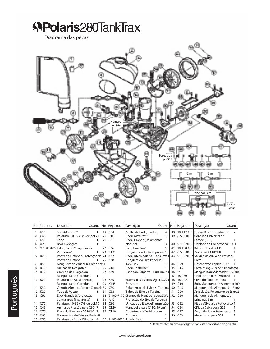## **APolaris280TankTrax**

Diagrama das peças



|                 | No. Peça no.    | Descrição<br>Quant.                 |    | No. Peça no.    | Descrição<br>Quant                             |                 | No. Peça no.    | Descrição<br>Ouant                       |  |
|-----------------|-----------------|-------------------------------------|----|-----------------|------------------------------------------------|-----------------|-----------------|------------------------------------------|--|
|                 | K13             | Saco Multiuso*                      | 19 | C64             | Anilha da Roda, Plástico<br>4                  | 38              | 10-112-00       | Discos Restritores da CUP                |  |
| 2               | C40             | Parafuso, 10-32 x 3/8 de pol 20     | 20 | C10             | Pneu, MaxTrax <sup>**</sup>                    | 39              | 6-500-00        | Conexão Universal de                     |  |
| 3               | K <sub>5</sub>  | Topo                                | 21 | C <sub>6</sub>  | Roda, Grande (Rolamentos                       |                 |                 | Parede (CUP)                             |  |
| 4               | A20             | Bóia, Cabecote                      |    |                 | Não Incl.)<br>3                                | 40              | 9-100-9001      | Unidade do Conector da CUP1              |  |
| 5               |                 | 9-100-3105 Esfregão da Mangueira de | 22 | K26             | Eixo, TankTrax®                                | 41              | 10-108-00       | Kit Restritor da CUP                     |  |
|                 |                 | Varredura*                          | 23 | C131            | Conjunto do Jacto Impulsor 1                   | 42 <sub>1</sub> | 6-505-00        | Anel em O, CUP/DR                        |  |
| 6               | <b>B25</b>      | Ponta do Orifício c/Protecção da 24 |    | K27             | Roda Intermediária - TankTrax 1                | 43 <sup>1</sup> |                 | 9-100-9002 Válvula de Alívio de Pressão. |  |
|                 |                 | Ponta do Orifício                   | 25 | K28             | Conjunto do Eixo Pendular -                    |                 |                 | Preta                                    |  |
| 7               | <b>B5</b>       | Mangueira de Varredura Completa*1   |    |                 | TankTrax <sup>®</sup>                          | 44              | D <sub>29</sub> | Desconexão Rápida, CUP                   |  |
| 8               | <b>B10</b>      | Anilhas de Desgaste*<br>8           | 26 | C18             | Pneu, TankTrax <sup>**</sup>                   | 45              | D <sub>15</sub> | Porca, Manqueira de Alimentação 1        |  |
| 9               | <b>B15</b>      | Grampo de Fixação da                | 27 | K <sub>29</sub> | Base com Suporte - TankTrax <sup>**</sup> 1    | 46              |                 | Mangueira de Adaptador, 21,6 cm1         |  |
|                 |                 | Mangueira de Varredura              |    |                 |                                                | 47              | 48-080          | Unidade do filtro em linha               |  |
| 10              | <b>B20</b>      | Parafuso de Ajustamento,            | 28 | K <sub>25</sub> | Sistema de Gestão da Água (SGA)1               | 48              | 48-222          | Crivo do filtro em linha                 |  |
|                 |                 | Manqueira de Varredura              | 29 | K145            | Estrutura                                      | 49              | D <sub>10</sub> | Bóia, Manqueira de Alimentação 9         |  |
| 11              | K30             | Cano de Alimentação com Cotovelo B0 |    | C80             | Rolamentos de Esferas, Turbina <sup>1</sup> 50 |                 | D45             | Mangueira de Alimentação, 3 m2           |  |
| 12              | K20             | Tubo de Vácuo                       | 31 | C83             | Tubos do Eixo da Turbina                       | 51              | D <sub>20</sub> | Articulação, Rolamento de Esferal        |  |
| 13              | C66             | Eixo, Grande (c/protecção           | 32 |                 | 9-100-7170 Grampo da Mangueira para SGA 2      | 52              | D <sub>50</sub> | Mangueira de Alimentação,                |  |
|                 |                 | contra areia fina/grossa)           | 33 | A40             | Protecção do Eixo da Turbina1                  |                 |                 | principal, 3 m                           |  |
| 14              | C76             | Parafuso, 10-32 x 7/8 de pol.10     | 34 | C86             | Unidade do Eixo de Transmissão <sup>1</sup>    | 53              | G52             | Kit da Válvula de Retrocesso 1           |  |
| 15              | C45             | Anilha de Pressão para C36 7        | 35 | C120            | Mangueira para C110, 19 cm 1                   | 54              | G54             | CKit da Caixa para G52                   |  |
| 16              | C70             | Placa do Eixo para C65/C66 3        | 36 | C110            | Cobertura da Turbina com                       | 55              | G57             | Aro, Válvula de Retrocesso               |  |
| 17              | C60             | Rolamentos de Esferas, Rodas 8      |    |                 | Cotovelo                                       | 56              | G53             | Mecanismo para G52                       |  |
| 18 <sup>1</sup> | C <sub>55</sub> | Parafuso da Roda, Plástico<br>4     | 37 |                 | 9-100-1018 Aro do Saco                         |                 |                 |                                          |  |

\* Os elementos sujeitos a desgaste não estão cobertos pela garantia.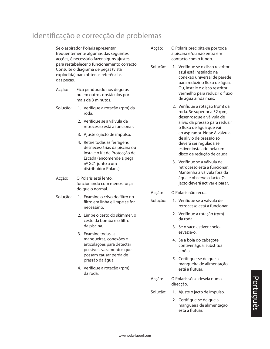#### Identificação e correcção de problemas

Se o aspirador Polaris apresentar frequentemente algumas das seguintes acções, é necessário fazer alguns ajustes para restabelecer o funcionamento correcto. Consulte o diagrama de peças (vista explodida) para obter as referências das peças.

- Acção: Fica pendurado nos degraus ou em outros obstáculos por mais de 3 minutos.
- Solução: 1. Verifique a rotação (rpm) da roda.
	- 2. Verifique se a válvula de retrocesso está a funcionar.
	- 3. Ajuste o jacto de impulso.
	- 4. Retire todas as ferragens desnecessárias da piscina ou instale o Kit de Protecção de Escada (encomende a peça nº G21 junto a um distribuidor Polaris).
- Acção: O Polaris está lento, funcionando com menos força do que o normal.
- Solução: 1. Examine o crivo do filtro no filtro em linha e limpe se for necessário.
	- 2. Limpe o cesto do skimmer, o cesto da bomba e o filtro da piscina.
	- 3. Examine todas as mangueiras, conexões e articulações para detectar possíveis vazamentos que possam causar perda de pressão da água.
	- 4. Verifique a rotação (rpm) da roda.
- Acção: O Polaris precipita-se por toda a piscina e/ou não entra em contacto com o fundo.
- Solução: 1. Verifique se o disco restritor azul está instalado na conexão universal de parede para reduzir o fluxo de água. Ou, instale o disco restritor vermelho para reduzir o fluxo de água ainda mais.
	- 2. Verifique a rotação (rpm) da roda. Se superior a 32 rpm, desenrosque a válvula de alívio da pressão para reduzir o fluxo de água que vai ao aspirador. Nota: A válvula de alívio de pressão só deverá ser regulada se estiver instalado nela um disco de redução de caudal.
	- 3. Verifique se a válvula de retrocesso está a funcionar. Mantenha a válvula fora da água e observe o jacto. O jacto deverá activar e parar.
- Acção: O Polaris não recua.
- Solução: 1. Verifique se a válvula de retrocesso está a funcionar.
	- 2. Verifique a rotação (rpm) da roda.
	- 3. Se o saco estiver cheio, esvazie-o.
	- 4. Se a bóia do cabeçote contiver água, substitua a bóia.
	- 5. Certifique-se de que a mangueira de alimentação está a flutuar.
- Acção: O Polaris só se desvia numa direcção.
- Solução: 1. Ajuste o jacto de impulso.
	- 2. Certifique-se de que a mangueira de alimentação está a flutuar.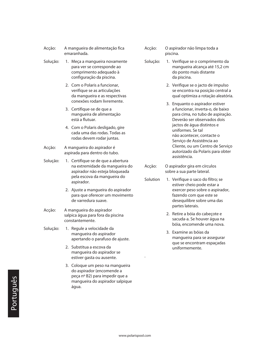- Acção: A mangueira de alimentação fica emaranhada.
- Solução: 1. Meça a mangueira novamente para ver se corresponde ao comprimento adequado à configuração da piscina.
	- 2. Com o Polaris a funcionar, verifique se as articulações da mangueira e as respectivas conexões rodam livremente.
	- 3. Certifique-se de que a mangueira de alimentação está a flutuar.
	- 4. Com o Polaris desligado, gire cada uma das rodas. Todas as rodas devem rodar juntas.
- Acção: A mangueira do aspirador é aspirada para dentro do tubo.
- Solução: 1. Certifique-se de que a abertura na extremidade da mangueira do aspirador não esteja bloqueada pela escova da mangueira do aspirador.
	- 2. Ajuste a mangueira do aspirador para que oferecer um movimento de varredura suave.
- Acção: A mangueira do aspirador salpica água para fora da piscina constantemente.
- Solução: 1. Regule a velocidade da mangueira do aspirador apertando o parafuso de ajuste.
	- 2. Substitua a escova da mangueira do aspirador se estiver gasta ou ausente.
	- 3. Coloque um peso na mangueira do aspirador (encomende a peça nº B2) para impedir que a mangueira do aspirador salpique água.
- Acção: O aspirador não limpa toda a piscina.
- Solução: 1. Verifique se o comprimento da mangueira alcança até 15,2 cm do ponto mais distante da piscina.
	- 2. Verifique se o jacto de impulso se encontra na posição central a qual optimiza a rotação aleatória.
	- 3. Enquanto o aspirador estiver a funcionar, inverta-o, de baixo para cima, no tubo de aspiração. Deverão ser observados dois jactos de água distintos e uniformes. Se tal não acontecer, contacte o Serviço de Assistência ao Cliente, ou um Centro de Serviço autorizado da Polaris para obter assistência.
- Acção: O aspirador gira em círculos sobre a sua parte lateral.
- Solution 1. Verifique o saco do filtro; se estiver cheio pode estar a exercer peso sobre o aspirador, fazendo com que este se desequilibre sobre uma das partes laterais.
	- 2. Retire a bóia do cabeçote e sacuda-a. Se houver água na bóia, encomende uma nova.
	- 3. Examine as bóias da mangueira para se assegurar que se encontram espaçadas uniformemente.

.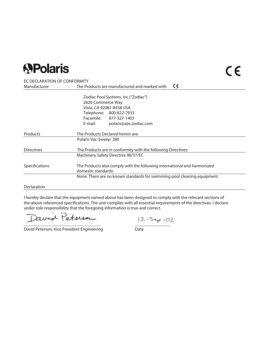### **SPolaris**

#### EC DECLARATION OF CONFORMITY

| Manufacturer      | CE<br>The Products are manufactured and marked with                                             |  |  |  |  |  |
|-------------------|-------------------------------------------------------------------------------------------------|--|--|--|--|--|
|                   | Zodiac Pool Systems, Inc. ("Zodiac")                                                            |  |  |  |  |  |
|                   | 2620 Commerce Way<br>Vista, CA 92081-8438 USA                                                   |  |  |  |  |  |
|                   |                                                                                                 |  |  |  |  |  |
|                   | Telephone: 800-822-7933                                                                         |  |  |  |  |  |
|                   | Facsimile: 877-327-1403                                                                         |  |  |  |  |  |
|                   | E-mail:<br>polaris@zpc.zodiac.com                                                               |  |  |  |  |  |
| Products          | The Products Declared herein are:                                                               |  |  |  |  |  |
|                   | Polaris Vac-Sweep <sup>®</sup> 280                                                              |  |  |  |  |  |
| <b>Directives</b> | The Products are in conformity with the following Directives:                                   |  |  |  |  |  |
|                   | Machinery Safety Directive 98/37/EC                                                             |  |  |  |  |  |
| Specifications    | The Products also comply with the following international and harmonized<br>domestic standards: |  |  |  |  |  |
|                   | None. There are no known standards for swimming pool cleaning equipment.                        |  |  |  |  |  |

Declaration

I hereby declare that the equipment named above has been designed to comply with the relevant sections of the above referenced specifications. The unit complies with all essential requirements of the directives. I declare under sole responsibility that the foregoing information is true and correct.

avid Peterson

David Peterson, Vice President Engineering

 $\frac{12-5e\rho - 02}{\text{Date}}$